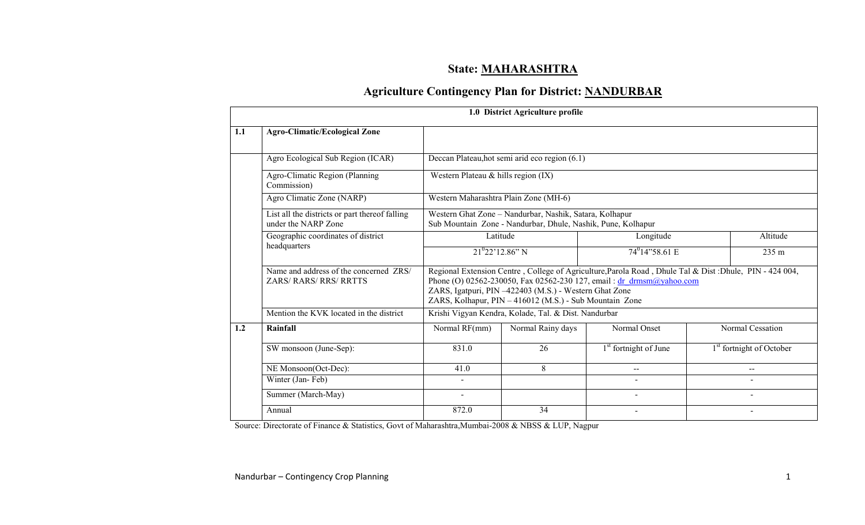## State: MAHARASHTRA

# Agriculture Contingency Plan for District: NANDURBAR

|     |                                                                         |                                                                                                                         | 1.0 District Agriculture profile                                                                                  |                                                                                                                                                                                 |  |                                      |  |  |  |
|-----|-------------------------------------------------------------------------|-------------------------------------------------------------------------------------------------------------------------|-------------------------------------------------------------------------------------------------------------------|---------------------------------------------------------------------------------------------------------------------------------------------------------------------------------|--|--------------------------------------|--|--|--|
| 1.1 | <b>Agro-Climatic/Ecological Zone</b>                                    |                                                                                                                         |                                                                                                                   |                                                                                                                                                                                 |  |                                      |  |  |  |
|     | Agro Ecological Sub Region (ICAR)                                       |                                                                                                                         | Deccan Plateau, hot semi arid eco region (6.1)                                                                    |                                                                                                                                                                                 |  |                                      |  |  |  |
|     | Agro-Climatic Region (Planning<br>Commission)                           | Western Plateau & hills region $(IX)$                                                                                   |                                                                                                                   |                                                                                                                                                                                 |  |                                      |  |  |  |
|     | Agro Climatic Zone (NARP)                                               | Western Maharashtra Plain Zone (MH-6)                                                                                   |                                                                                                                   |                                                                                                                                                                                 |  |                                      |  |  |  |
|     | List all the districts or part thereof falling<br>under the NARP Zone   | Western Ghat Zone - Nandurbar, Nashik, Satara, Kolhapur<br>Sub Mountain Zone - Nandurbar, Dhule, Nashik, Pune, Kolhapur |                                                                                                                   |                                                                                                                                                                                 |  |                                      |  |  |  |
|     | Geographic coordinates of district                                      |                                                                                                                         | Latitude                                                                                                          | Longitude                                                                                                                                                                       |  | Altitude                             |  |  |  |
|     | headquarters                                                            |                                                                                                                         | $21^{0}22'12.86''$ N                                                                                              | $74^{\circ}14^{\circ}58.61$ E                                                                                                                                                   |  | 235 m                                |  |  |  |
|     | Name and address of the concerned ZRS/<br><b>ZARS/ RARS/ RRS/ RRTTS</b> |                                                                                                                         | ZARS, Igatpuri, PIN -422403 (M.S.) - Western Ghat Zone<br>ZARS, Kolhapur, PIN - 416012 (M.S.) - Sub Mountain Zone | Regional Extension Centre, College of Agriculture, Parola Road, Dhule Tal & Dist: Dhule, PIN - 424 004,<br>Phone (O) 02562-230050, Fax 02562-230 127, email: dr drmsm@yahoo.com |  |                                      |  |  |  |
|     | Mention the KVK located in the district                                 |                                                                                                                         | Krishi Vigyan Kendra, Kolade, Tal. & Dist. Nandurbar                                                              |                                                                                                                                                                                 |  |                                      |  |  |  |
| 1.2 | Rainfall                                                                | Normal RF(mm)                                                                                                           | Normal Rainy days                                                                                                 | Normal Onset                                                                                                                                                                    |  | Normal Cessation                     |  |  |  |
|     | SW monsoon (June-Sep):                                                  | 831.0                                                                                                                   | 26                                                                                                                | 1 <sup>st</sup> fortnight of June                                                                                                                                               |  | 1 <sup>st</sup> fortnight of October |  |  |  |
|     | NE Monsoon(Oct-Dec):                                                    | 41.0                                                                                                                    | 8                                                                                                                 | $-$                                                                                                                                                                             |  | $\sim$                               |  |  |  |
|     | Winter (Jan-Feb)                                                        |                                                                                                                         |                                                                                                                   |                                                                                                                                                                                 |  | $\overline{a}$                       |  |  |  |
|     | Summer (March-May)                                                      |                                                                                                                         |                                                                                                                   |                                                                                                                                                                                 |  |                                      |  |  |  |
|     | Annual                                                                  | 872.0                                                                                                                   | 34                                                                                                                |                                                                                                                                                                                 |  | $\blacksquare$                       |  |  |  |

Source: Directorate of Finance & Statistics, Govt of Maharashtra,Mumbai-2008 & NBSS & LUP, Nagpur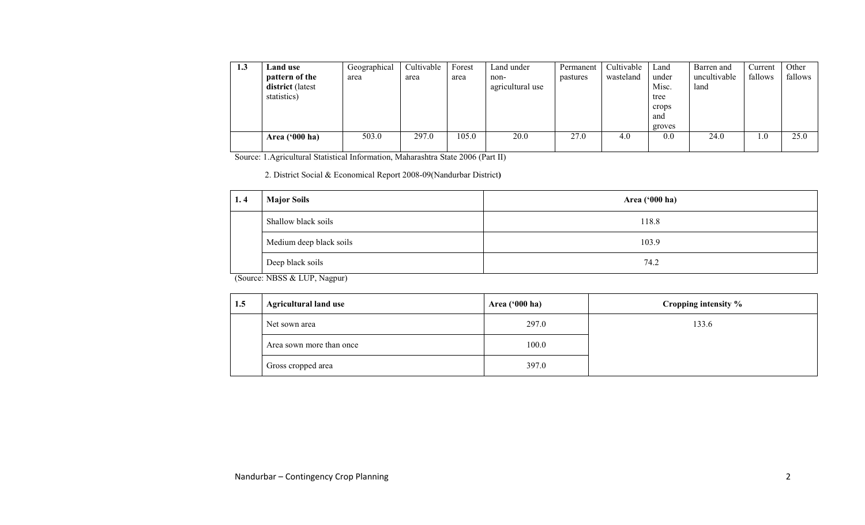| 1.3 | Land use                | Geographical | Cultivable | Forest | Land under       | Permanent | Cultivable | Land   | Barren and   | Current | Other   |
|-----|-------------------------|--------------|------------|--------|------------------|-----------|------------|--------|--------------|---------|---------|
|     | pattern of the          | area         | area       | area   | non-             | pastures  | wasteland  | under  | uncultivable | fallows | fallows |
|     | <b>district</b> (latest |              |            |        | agricultural use |           |            | Misc.  | land         |         |         |
|     | statistics)             |              |            |        |                  |           |            | tree   |              |         |         |
|     |                         |              |            |        |                  |           |            | crops  |              |         |         |
|     |                         |              |            |        |                  |           |            | and    |              |         |         |
|     |                         |              |            |        |                  |           |            | groves |              |         |         |
|     | Area $(900 \text{ ha})$ | 503.0        | 297.0      | 105.0  | 20.0             | 27.0      | 4.0        | 0.0    | 24.0         | 0.1     | 25.0    |
|     |                         |              |            |        |                  |           |            |        |              |         |         |

Source: 1.Agricultural Statistical Information, Maharashtra State 2006 (Part II)

2. District Social & Economical Report 2008-09(Nandurbar District)

| <b>Major Soils</b><br>1.4 | Area ('000 ha) |
|---------------------------|----------------|
| Shallow black soils       | 118.8          |
| Medium deep black soils   | 103.9          |
| Deep black soils          | 74.2           |

(Source: NBSS & LUP, Nagpur)

| 1.5 | <b>Agricultural land use</b> | Area $('000 ha)$ | Cropping intensity % |
|-----|------------------------------|------------------|----------------------|
|     | Net sown area                | 297.0            | 133.6                |
|     | Area sown more than once     | 100.0            |                      |
|     | Gross cropped area           | 397.0            |                      |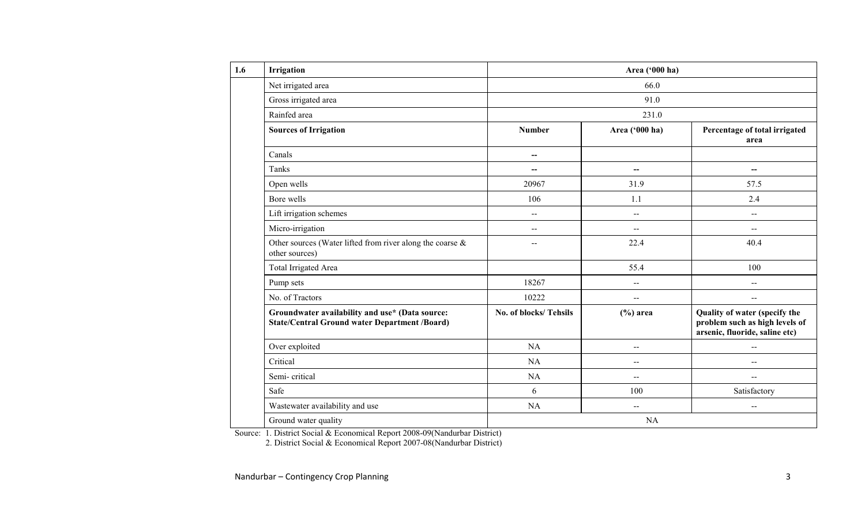| <b>Irrigation</b> |                                                                                                         | Area ('000 ha)           |                          |                                                                                                   |  |  |  |  |
|-------------------|---------------------------------------------------------------------------------------------------------|--------------------------|--------------------------|---------------------------------------------------------------------------------------------------|--|--|--|--|
|                   | Net irrigated area                                                                                      |                          | 66.0                     |                                                                                                   |  |  |  |  |
|                   | Gross irrigated area                                                                                    | 91.0                     |                          |                                                                                                   |  |  |  |  |
| Rainfed area      |                                                                                                         |                          | 231.0                    |                                                                                                   |  |  |  |  |
|                   | <b>Sources of Irrigation</b>                                                                            | <b>Number</b>            | Area ('000 ha)           | Percentage of total irrigated<br>area                                                             |  |  |  |  |
| Canals            |                                                                                                         | $\overline{a}$           |                          |                                                                                                   |  |  |  |  |
| Tanks             |                                                                                                         |                          | $\overline{\phantom{a}}$ | $-$                                                                                               |  |  |  |  |
| Open wells        |                                                                                                         | 20967                    | 31.9                     | 57.5                                                                                              |  |  |  |  |
| Bore wells        |                                                                                                         | 106                      | 1.1                      | 2.4                                                                                               |  |  |  |  |
|                   | Lift irrigation schemes                                                                                 | $\overline{\phantom{a}}$ | $-$                      | $\overline{\phantom{a}}$                                                                          |  |  |  |  |
|                   | Micro-irrigation                                                                                        | $-$                      | $\overline{\phantom{a}}$ | $-$                                                                                               |  |  |  |  |
|                   | Other sources (Water lifted from river along the coarse &<br>other sources)                             |                          | 22.4                     | 40.4                                                                                              |  |  |  |  |
|                   | Total Irrigated Area                                                                                    |                          | 55.4                     | 100                                                                                               |  |  |  |  |
| Pump sets         |                                                                                                         | 18267                    | $\overline{a}$           | $\overline{\phantom{a}}$                                                                          |  |  |  |  |
|                   | No. of Tractors                                                                                         | 10222                    | --                       | $\overline{\phantom{a}}$                                                                          |  |  |  |  |
|                   | Groundwater availability and use* (Data source:<br><b>State/Central Ground water Department /Board)</b> | No. of blocks/Tehsils    | $(\%)$ area              | Quality of water (specify the<br>problem such as high levels of<br>arsenic, fluoride, saline etc) |  |  |  |  |
|                   | Over exploited                                                                                          | NA                       | --                       | $\overline{\phantom{a}}$                                                                          |  |  |  |  |
| Critical          |                                                                                                         | NA                       | $- -$                    | --                                                                                                |  |  |  |  |
|                   | Semi-critical                                                                                           | <b>NA</b>                | $\overline{\phantom{a}}$ | $\overline{a}$                                                                                    |  |  |  |  |
| Safe              |                                                                                                         | 6                        | 100                      | Satisfactory                                                                                      |  |  |  |  |
|                   | Wastewater availability and use                                                                         | <b>NA</b>                | $\sim$                   | $\mathbf{u}$                                                                                      |  |  |  |  |
|                   | Ground water quality                                                                                    |                          | <b>NA</b>                |                                                                                                   |  |  |  |  |

Source: 1. District Social & Economical Report 2008-09(Nandurbar District) 2. District Social & Economical Report 2007-08(Nandurbar District)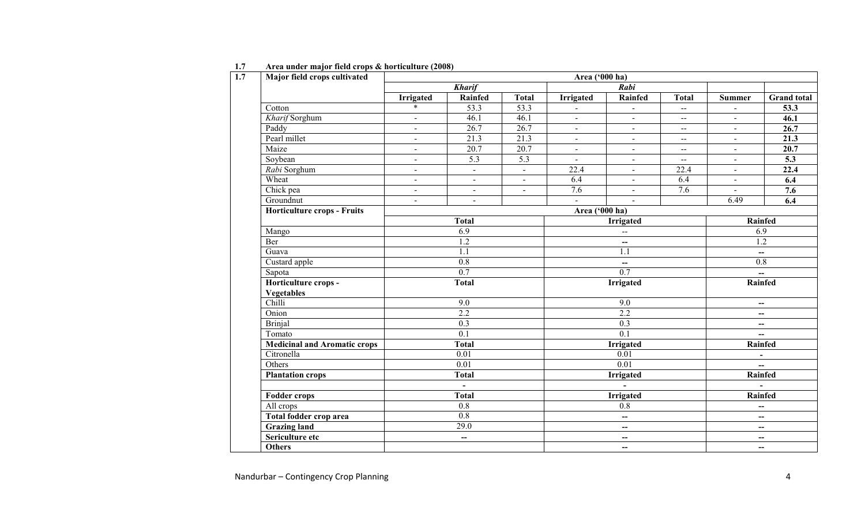| Major field crops cultivated                      | Area ('000 ha)           |                             |                  |                          |                          |                     |                          |                          |  |  |
|---------------------------------------------------|--------------------------|-----------------------------|------------------|--------------------------|--------------------------|---------------------|--------------------------|--------------------------|--|--|
|                                                   |                          | <b>Kharif</b>               |                  |                          | Rabi                     |                     |                          |                          |  |  |
|                                                   | <b>Irrigated</b>         | Rainfed                     | <b>Total</b>     | <b>Irrigated</b>         | Rainfed                  | <b>Total</b>        | <b>Summer</b>            | <b>Grand</b> total       |  |  |
| $\overline{\text{Cotton}}$                        | $\ast$                   | $\overline{53.3}$           | 53.3             |                          | $\blacksquare$           | $\bar{\phantom{a}}$ | $\blacksquare$           | 53.3                     |  |  |
| Kharif Sorghum                                    | $\mathbf{r}$             | 46.1                        | 46.1             | $\blacksquare$           | $\blacksquare$           | $\overline{a}$      | $\sim$                   | 46.1                     |  |  |
| Paddy                                             | $\overline{a}$           | 26.7                        | 26.7             | $\blacksquare$           | $\blacksquare$           | $\overline{a}$      | $\blacksquare$           | 26.7                     |  |  |
| Pearl millet                                      | $\blacksquare$           | 21.3                        | 21.3             | $\blacksquare$           | $\blacksquare$           | $\overline{a}$      | $\blacksquare$           | 21.3                     |  |  |
| Maize                                             | $\blacksquare$           | 20.7                        | 20.7             | $\blacksquare$           | $\blacksquare$           | $\sim$              | $\sim$                   | $\overline{20.7}$        |  |  |
| Soybean                                           | $\overline{\phantom{a}}$ | $\overline{5.3}$            | $\overline{5.3}$ | $\blacksquare$           | $\blacksquare$           | $\sim$              | $\sim$                   | 5.3                      |  |  |
| Rabi Sorghum                                      | $\mathbf{r}$             | $\mathcal{L}_{\mathcal{A}}$ | $\blacksquare$   | 22.4                     | $\blacksquare$           | 22.4                | $\sim$                   | 22.4                     |  |  |
| Wheat                                             | $\blacksquare$           | $\blacksquare$              | $\blacksquare$   | 6.4                      | $\blacksquare$           | 6.4                 | $\blacksquare$           | 6.4                      |  |  |
| Chick pea                                         | $\blacksquare$           | $\blacksquare$              | $\blacksquare$   | 7.6                      | $\blacksquare$           | 7.6                 | $\blacksquare$           | 7.6                      |  |  |
| Groundnut                                         | $\blacksquare$           | $\blacksquare$              |                  | $\blacksquare$           | $\blacksquare$           |                     | 6.49                     | 6.4                      |  |  |
| <b>Horticulture crops - Fruits</b>                |                          |                             |                  | Area ('000 ha)           |                          |                     |                          |                          |  |  |
|                                                   |                          | <b>Total</b>                |                  |                          | <b>Irrigated</b>         |                     |                          | Rainfed                  |  |  |
| Mango                                             | 6.9                      |                             |                  | Ц,                       |                          |                     | 6.9                      |                          |  |  |
| Ber                                               | 1.2                      |                             |                  | $--$                     |                          |                     | $\overline{1.2}$         |                          |  |  |
| Guava                                             |                          | 1.1                         |                  | 1.1                      |                          |                     |                          | $\overline{\phantom{a}}$ |  |  |
| Custard apple                                     |                          | 0.8                         |                  | $\qquad \qquad -$        |                          |                     | 0.8                      |                          |  |  |
| Sapota                                            |                          | $\overline{0.7}$            |                  | 0.7                      |                          |                     | $\overline{\phantom{a}}$ |                          |  |  |
| Horticulture crops -                              |                          | <b>Total</b>                |                  | Irrigated                |                          |                     |                          | Rainfed                  |  |  |
| <b>Vegetables</b>                                 |                          |                             |                  |                          |                          |                     |                          |                          |  |  |
| Chilli                                            |                          | 9.0                         |                  | 9.0                      |                          |                     | $\overline{\phantom{a}}$ |                          |  |  |
| Onion                                             |                          | $\overline{2.2}$            |                  | 2.2                      |                          |                     | $\overline{\phantom{a}}$ |                          |  |  |
| <b>Brinjal</b>                                    |                          | $\overline{0.3}$            |                  | 0.3                      |                          |                     | $\overline{\phantom{a}}$ |                          |  |  |
| Tomato                                            |                          | $\overline{0.1}$            |                  |                          | $\overline{0.1}$         |                     |                          | $\overline{\phantom{a}}$ |  |  |
| <b>Medicinal and Aromatic crops</b>               |                          | <b>Total</b>                |                  |                          | <b>Irrigated</b>         |                     |                          | Rainfed                  |  |  |
| Citronella                                        |                          | 0.01                        |                  |                          | 0.01                     |                     | $\blacksquare$           |                          |  |  |
| Others                                            |                          | $\overline{0.01}$           |                  |                          | $\overline{0.01}$        |                     |                          | $\overline{a}$           |  |  |
| <b>Plantation crops</b>                           |                          | <b>Total</b>                |                  |                          | <b>Irrigated</b>         |                     |                          | Rainfed                  |  |  |
|                                                   |                          | $\blacksquare$              |                  |                          | $\mathbf{r}$             |                     |                          |                          |  |  |
| <b>Fodder crops</b>                               | <b>Total</b>             |                             |                  | <b>Irrigated</b>         |                          |                     | Rainfed                  |                          |  |  |
| All crops                                         |                          | 0.8                         |                  | 0.8                      |                          |                     |                          | --                       |  |  |
| <b>Total fodder crop area</b><br>$\overline{0.8}$ |                          |                             |                  | —                        |                          |                     |                          | $\overline{\phantom{a}}$ |  |  |
| <b>Grazing land</b>                               |                          | $\overline{29.0}$           |                  | $\overline{\phantom{a}}$ |                          |                     | $\overline{\phantom{m}}$ |                          |  |  |
| Sericulture etc                                   |                          | $\overline{\phantom{a}}$    |                  |                          | --                       |                     |                          | $\overline{\phantom{a}}$ |  |  |
| <b>Others</b>                                     |                          |                             |                  |                          | $\overline{\phantom{a}}$ |                     |                          | $\overline{\phantom{a}}$ |  |  |

#### 1.7 Area under major field crops & horticulture (2008)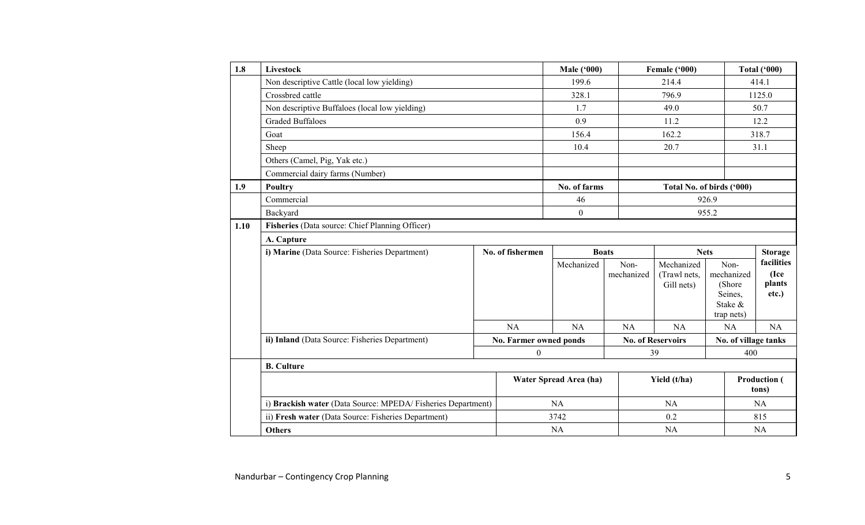| 1.8  | Livestock                                                   |  |                        | <b>Male ('000)</b> |                    | Female ('000)              |       |                                            | <b>Total ('000)</b>  |
|------|-------------------------------------------------------------|--|------------------------|--------------------|--------------------|----------------------------|-------|--------------------------------------------|----------------------|
|      | Non descriptive Cattle (local low yielding)                 |  |                        | 199.6              |                    | 214.4                      |       | 414.1                                      |                      |
|      | Crossbred cattle                                            |  |                        | 328.1              |                    | 796.9                      |       | 1125.0                                     |                      |
|      | Non descriptive Buffaloes (local low yielding)              |  |                        | 1.7                |                    | 49.0                       |       |                                            | 50.7                 |
|      | <b>Graded Buffaloes</b>                                     |  |                        | 0.9                |                    | 11.2                       |       |                                            | 12.2                 |
|      | Goat                                                        |  |                        | 156.4              |                    | 162.2                      |       |                                            | 318.7                |
|      | Sheep                                                       |  |                        | 10.4               |                    | 20.7                       |       |                                            | 31.1                 |
|      | Others (Camel, Pig, Yak etc.)                               |  |                        |                    |                    |                            |       |                                            |                      |
|      | Commercial dairy farms (Number)                             |  |                        |                    |                    |                            |       |                                            |                      |
| 1.9  | <b>Poultry</b>                                              |  |                        | No. of farms       |                    | Total No. of birds ('000)  |       |                                            |                      |
|      | Commercial                                                  |  |                        | 46                 |                    |                            | 926.9 |                                            |                      |
|      | Backyard                                                    |  | $\boldsymbol{0}$       |                    | 955.2              |                            |       |                                            |                      |
| 1.10 | Fisheries (Data source: Chief Planning Officer)             |  |                        |                    |                    |                            |       |                                            |                      |
|      | A. Capture                                                  |  |                        |                    |                    |                            |       |                                            |                      |
|      | i) Marine (Data Source: Fisheries Department)               |  | No. of fishermen       |                    | <b>Boats</b>       | <b>Nets</b>                |       |                                            | <b>Storage</b>       |
|      |                                                             |  |                        | Mechanized         | Non-<br>mechanized | Mechanized<br>(Trawl nets, |       | Non-<br>mechanized                         | facilities<br>(Ice   |
|      |                                                             |  |                        |                    |                    | Gill nets)                 |       | (Shore<br>Seines,<br>Stake &<br>trap nets) | plants<br>etc.)      |
|      |                                                             |  | NA                     | <b>NA</b>          | NA                 | NA                         |       | <b>NA</b>                                  | <b>NA</b>            |
|      | ii) Inland (Data Source: Fisheries Department)              |  | No. Farmer owned ponds |                    |                    | <b>No. of Reservoirs</b>   |       |                                            | No. of village tanks |
|      |                                                             |  | $\boldsymbol{0}$       |                    |                    | 39                         |       | 400                                        |                      |
|      | <b>B.</b> Culture                                           |  |                        |                    |                    |                            |       |                                            |                      |
|      |                                                             |  | Water Spread Area (ha) |                    |                    | Yield (t/ha)               |       | <b>Production</b> (<br>tons)               |                      |
|      | i) Brackish water (Data Source: MPEDA/Fisheries Department) |  |                        | <b>NA</b>          |                    | <b>NA</b>                  |       | NA                                         |                      |
|      | ii) Fresh water (Data Source: Fisheries Department)         |  |                        | 3742               |                    | 0.2                        |       | 815                                        |                      |
|      | <b>Others</b>                                               |  | <b>NA</b>              |                    |                    | <b>NA</b>                  |       | NA                                         |                      |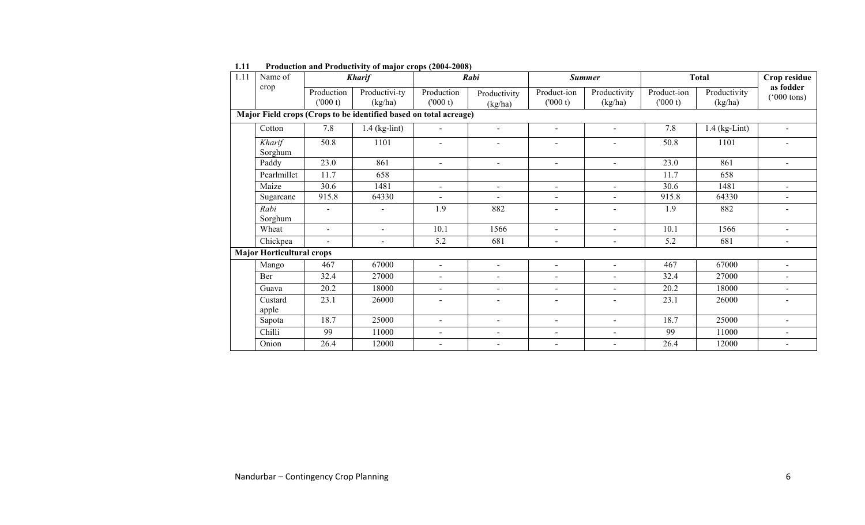| 1.11                                                              | Name of                          | Rabi<br><b>Kharif</b> |                          |                       |                          | <b>Summer</b>          | <b>Total</b>            |                        | Crop residue            |                                   |  |
|-------------------------------------------------------------------|----------------------------------|-----------------------|--------------------------|-----------------------|--------------------------|------------------------|-------------------------|------------------------|-------------------------|-----------------------------------|--|
|                                                                   | crop                             | Production<br>(000 t) | Productivi-ty<br>(kg/ha) | Production<br>(000 t) | Productivity<br>(kg/ha)  | Product-ion<br>(000 t) | Productivity<br>(kg/ha) | Product-ion<br>(000 t) | Productivity<br>(kg/ha) | as fodder<br>$(000 \text{ tons})$ |  |
| Major Field crops (Crops to be identified based on total acreage) |                                  |                       |                          |                       |                          |                        |                         |                        |                         |                                   |  |
|                                                                   | Cotton                           | 7.8                   | $1.4$ (kg-lint)          | $\blacksquare$        | $\blacksquare$           | $\blacksquare$         | $\sim$                  | 7.8                    | $1.4$ (kg-Lint)         |                                   |  |
|                                                                   | Kharif<br>Sorghum                | 50.8                  | 1101                     | $\sim$                | $\sim$                   | $\blacksquare$         | ۰                       | 50.8                   | 1101                    |                                   |  |
|                                                                   | Paddy                            | 23.0                  | 861                      | $\blacksquare$        | $\sim$                   | $\blacksquare$         | $\sim$                  | 23.0                   | 861                     | $\sim$                            |  |
|                                                                   | Pearlmillet                      | 11.7                  | 658                      |                       |                          |                        |                         | 11.7                   | 658                     |                                   |  |
|                                                                   | Maize                            | 30.6                  | 1481                     | $\sim$                | $\sim$                   | $\blacksquare$         | $\sim$                  | 30.6                   | 1481                    | $\overline{a}$                    |  |
|                                                                   | Sugarcane                        | 915.8                 | 64330                    | $\sim$                | $\sim$                   | $\blacksquare$         | $\blacksquare$          | 915.8                  | 64330                   | $\blacksquare$                    |  |
|                                                                   | Rabi                             | $\sim$                | ۰                        | 1.9                   | 882                      | $\overline{a}$         | $\sim$                  | 1.9                    | 882                     |                                   |  |
|                                                                   | Sorghum                          |                       |                          |                       |                          |                        |                         |                        |                         |                                   |  |
|                                                                   | Wheat                            | $\blacksquare$        | $\blacksquare$           | 10.1                  | 1566                     | $\blacksquare$         | $\sim$                  | 10.1                   | 1566                    | $\blacksquare$                    |  |
|                                                                   | Chickpea                         | $\blacksquare$        | ÷,                       | 5.2                   | 681                      | $\blacksquare$         | $\blacksquare$          | 5.2                    | 681                     | $\sim$                            |  |
|                                                                   | <b>Major Horticultural crops</b> |                       |                          |                       |                          |                        |                         |                        |                         |                                   |  |
|                                                                   | Mango                            | 467                   | 67000                    | $\sim$                | $\blacksquare$           | $\blacksquare$         | $\sim$                  | 467                    | 67000                   | $\blacksquare$                    |  |
|                                                                   | Ber                              | 32.4                  | 27000                    | $\blacksquare$        | $\sim$                   | $\blacksquare$         | $\sim$                  | 32.4                   | 27000                   |                                   |  |
|                                                                   | Guava                            | 20.2                  | 18000                    | $\blacksquare$        | $\overline{\phantom{a}}$ | $\blacksquare$         | $\sim$                  | 20.2                   | 18000                   | $\blacksquare$                    |  |
|                                                                   | Custard                          | 23.1                  | 26000                    | $\sim$                | $\sim$                   | $\blacksquare$         | $\sim$                  | 23.1                   | 26000                   | $\sim$                            |  |
|                                                                   | apple                            |                       |                          |                       |                          |                        |                         |                        |                         |                                   |  |
|                                                                   | Sapota                           | 18.7                  | 25000                    | $\sim$                | $\sim$                   | $\blacksquare$         | $\sim$                  | 18.7                   | 25000                   | $\blacksquare$                    |  |
|                                                                   | Chilli                           | 99                    | 11000                    | $\blacksquare$        | $\blacksquare$           | $\blacksquare$         | $\sim$                  | 99                     | 11000                   | $\blacksquare$                    |  |
|                                                                   | Onion                            | 26.4                  | 12000                    | $\blacksquare$        | $\sim$                   | $\overline{a}$         |                         | 26.4                   | 12000                   |                                   |  |

1.11 Production and Productivity of major crops (2004-2008)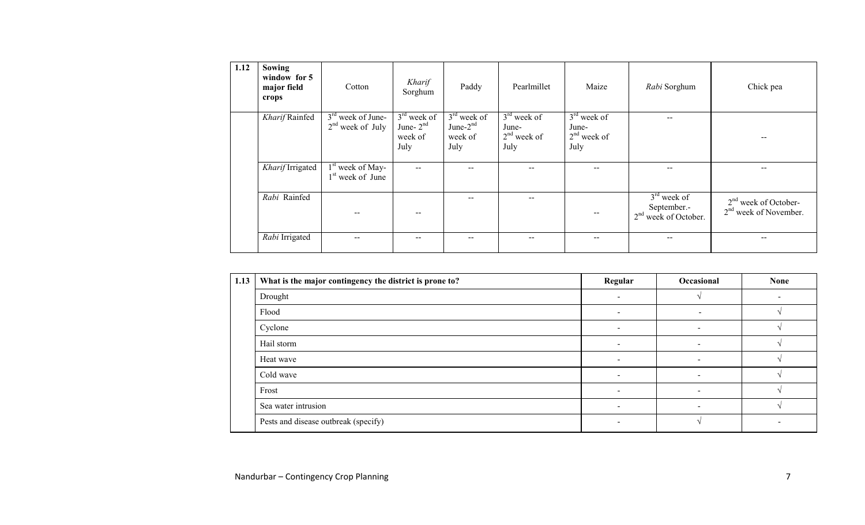| 1.12 | Sowing<br>window for 5<br>major field<br>crops | Cotton                                             | Kharif<br>Sorghum                               | Paddy                                           | Pearlmillet                                     | Maize                                           | Rabi Sorghum                                           | Chick pea                                         |
|------|------------------------------------------------|----------------------------------------------------|-------------------------------------------------|-------------------------------------------------|-------------------------------------------------|-------------------------------------------------|--------------------------------------------------------|---------------------------------------------------|
|      | Kharif Rainfed                                 | $3rd$ week of June-<br>$2nd$ week of July          | $3rd$ week of<br>June- $2nd$<br>week of<br>July | $3rd$ week of<br>June- $2nd$<br>week of<br>July | $3rd$ week of<br>June-<br>$2nd$ week of<br>July | $3rd$ week of<br>June-<br>$2nd$ week of<br>July | $- -$                                                  |                                                   |
|      | Kharif Irrigated                               | 1 <sup>st</sup> week of May-<br>$1st$ week of June |                                                 | $-$                                             |                                                 | --                                              | --                                                     |                                                   |
|      | Rabi Rainfed                                   |                                                    |                                                 | $-$                                             | --                                              | $\sim$ $\sim$                                   | $3rd$ week of<br>September.-<br>$2nd$ week of October. | $2nd$ week of October-<br>$2nd$ week of November. |
|      | Rabi Irrigated                                 | --                                                 |                                                 | $\overline{\phantom{m}}$                        | $- -$                                           | $\overline{\phantom{m}}$                        | $- -$                                                  |                                                   |

| 1.13 | What is the major contingency the district is prone to? | Regular                  | Occasional | <b>None</b> |
|------|---------------------------------------------------------|--------------------------|------------|-------------|
|      | Drought                                                 | $\sim$                   |            |             |
|      | Flood                                                   | $\overline{\phantom{0}}$ |            |             |
|      | Cyclone                                                 | $\overline{\phantom{0}}$ |            |             |
|      | Hail storm                                              | $\sim$                   |            |             |
|      | Heat wave                                               |                          |            |             |
|      | Cold wave                                               | $\overline{\phantom{a}}$ |            |             |
|      | Frost                                                   | $\blacksquare$           |            |             |
|      | Sea water intrusion                                     |                          |            |             |
|      | Pests and disease outbreak (specify)                    |                          |            |             |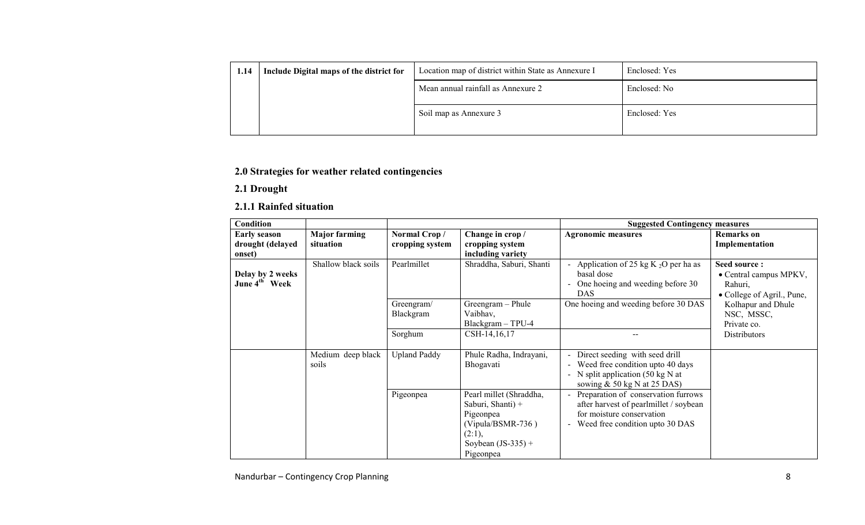| 1.14 | Include Digital maps of the district for | Location map of district within State as Annexure I | Enclosed: Yes |
|------|------------------------------------------|-----------------------------------------------------|---------------|
|      |                                          | Mean annual rainfall as Annexure 2                  | Enclosed: No  |
|      |                                          | Soil map as Annexure 3                              | Enclosed: Yes |

## 2.0 Strategies for weather related contingencies

## 2.1 Drought

## 2.1.1 Rainfed situation

| <b>Condition</b>                              |                                   |                                 |                                                                                                                                 | <b>Suggested Contingency measures</b>                                                                                                           |                                                                                 |
|-----------------------------------------------|-----------------------------------|---------------------------------|---------------------------------------------------------------------------------------------------------------------------------|-------------------------------------------------------------------------------------------------------------------------------------------------|---------------------------------------------------------------------------------|
| <b>Early season</b><br>drought (delayed       | <b>Major farming</b><br>situation | Normal Crop/<br>cropping system | Change in crop /<br>cropping system                                                                                             | <b>Agronomic measures</b>                                                                                                                       | <b>Remarks</b> on<br>Implementation                                             |
| onset)                                        |                                   |                                 | including variety                                                                                                               |                                                                                                                                                 |                                                                                 |
| Delay by 2 weeks<br>June 4 <sup>th</sup> Week | Shallow black soils               | Pearlmillet                     | Shraddha, Saburi, Shanti                                                                                                        | Application of 25 kg K $_2O$ per ha as<br>basal dose<br>One hoeing and weeding before 30<br>DAS.                                                | Seed source:<br>• Central campus MPKV,<br>Rahuri,<br>• College of Agril., Pune, |
|                                               |                                   | Greengram/<br>Blackgram         | Greengram - Phule<br>Vaibhav,<br>Blackgram - TPU-4                                                                              | One hoeing and weeding before 30 DAS                                                                                                            | Kolhapur and Dhule<br>NSC, MSSC,<br>Private co.                                 |
|                                               |                                   | Sorghum                         | CSH-14,16,17                                                                                                                    |                                                                                                                                                 | <b>Distributors</b>                                                             |
|                                               | Medium deep black<br>soils        | <b>Upland Paddy</b>             | Phule Radha, Indrayani,<br>Bhogavati                                                                                            | Direct seeding with seed drill<br>Weed free condition upto 40 days<br>N split application $(50 \text{ kg N at}$<br>sowing $& 50 kg N at 25 DAS$ |                                                                                 |
|                                               |                                   | Pigeonpea                       | Pearl millet (Shraddha,<br>Saburi, Shanti) +<br>Pigeonpea<br>$(Vipula/BSMR-736)$<br>(2:1),<br>Soybean $(JS-335)$ +<br>Pigeonpea | Preparation of conservation furrows<br>after harvest of pearlmillet / soybean<br>for moisture conservation<br>Weed free condition upto 30 DAS   |                                                                                 |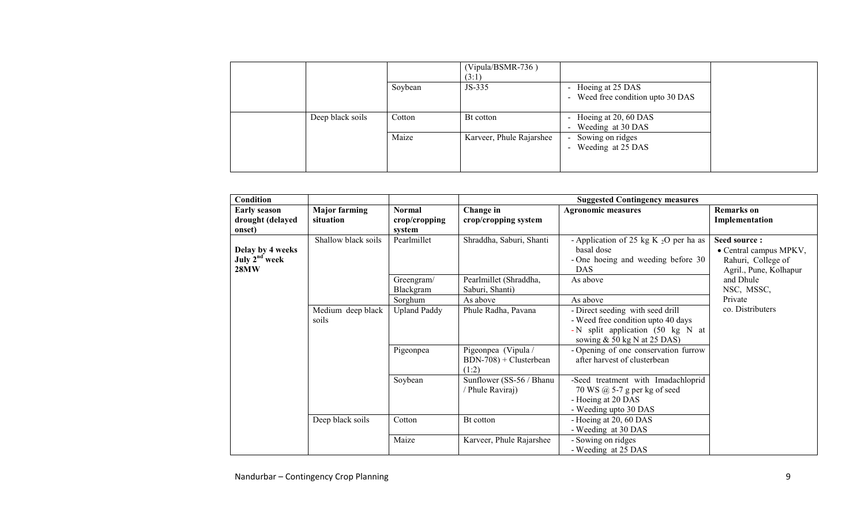|                  |         | $(Vipula/BSMR-736)$<br>(3:1) |                                                                                 |
|------------------|---------|------------------------------|---------------------------------------------------------------------------------|
|                  | Soybean | JS-335                       | Hoeing at 25 DAS<br>$\blacksquare$<br>Weed free condition upto 30 DAS<br>$\sim$ |
| Deep black soils | Cotton  | Bt cotton                    | Hoeing at 20, 60 DAS<br>$\sim$<br>Weeding at 30 DAS<br>$\blacksquare$           |
|                  | Maize   | Karveer, Phule Rajarshee     | Sowing on ridges<br>$\sim$<br>Weeding at 25 DAS<br>$\sim$                       |

| Condition                                                    |                                   |                                          | <b>Suggested Contingency measures</b>                   |                                                                                                                                             |                                                                                        |  |
|--------------------------------------------------------------|-----------------------------------|------------------------------------------|---------------------------------------------------------|---------------------------------------------------------------------------------------------------------------------------------------------|----------------------------------------------------------------------------------------|--|
| <b>Early season</b><br>drought (delayed<br>onset)            | <b>Major farming</b><br>situation | <b>Normal</b><br>crop/cropping<br>system | Change in<br>crop/cropping system                       | <b>Agronomic measures</b>                                                                                                                   | <b>Remarks</b> on<br>Implementation                                                    |  |
| Delay by 4 weeks<br>July 2 <sup>nd</sup> week<br><b>28MW</b> | Shallow black soils               | Pearlmillet                              | Shraddha, Saburi, Shanti                                | - Application of 25 kg K $_2O$ per ha as<br>basal dose<br>- One hoeing and weeding before 30<br><b>DAS</b>                                  | Seed source:<br>• Central campus MPKV,<br>Rahuri, College of<br>Agril., Pune, Kolhapur |  |
|                                                              |                                   | Greengram/<br>Blackgram                  | Pearlmillet (Shraddha,<br>Saburi, Shanti)<br>As above   | As above<br>As above                                                                                                                        | and Dhule<br>NSC, MSSC,                                                                |  |
|                                                              | Medium deep black<br>soils        | Sorghum<br><b>Upland Paddy</b>           | Phule Radha, Pavana                                     | - Direct seeding with seed drill<br>- Weed free condition upto 40 days<br>- N split application (50 kg N at<br>sowing $& 50 kg N at 25 DAS$ | Private<br>co. Distributers                                                            |  |
|                                                              |                                   | Pigeonpea                                | Pigeonpea (Vipula /<br>$BDN-708$ + Clusterbean<br>(1:2) | - Opening of one conservation furrow<br>after harvest of clusterbean                                                                        |                                                                                        |  |
|                                                              |                                   | Soybean                                  | Sunflower (SS-56 / Bhanu<br>Phule Raviraj)              | -Seed treatment with Imadachloprid<br>70 WS @ 5-7 g per kg of seed<br>- Hoeing at 20 DAS<br>- Weeding upto 30 DAS                           |                                                                                        |  |
|                                                              | Deep black soils                  | Cotton                                   | Bt cotton                                               | - Hoeing at 20, 60 DAS<br>- Weeding at 30 DAS                                                                                               |                                                                                        |  |
|                                                              |                                   | Maize                                    | Karveer, Phule Rajarshee                                | - Sowing on ridges<br>- Weeding at 25 DAS                                                                                                   |                                                                                        |  |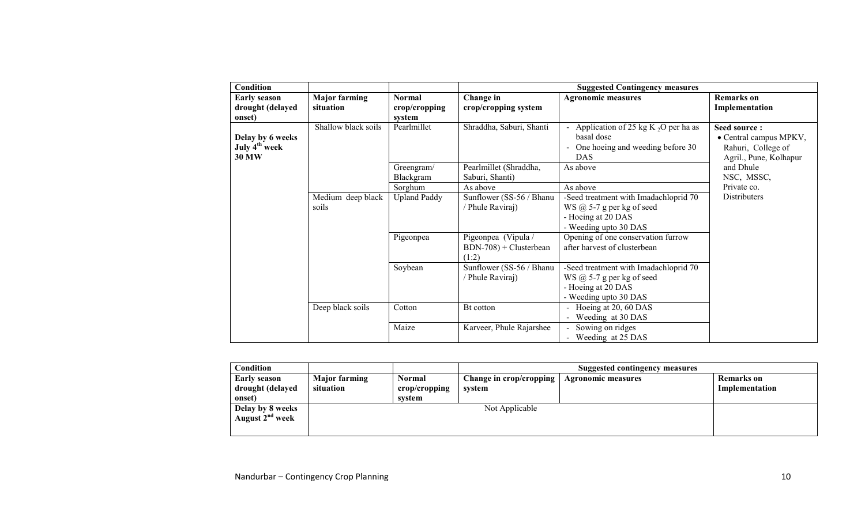| <b>Condition</b>                                              |                                   |                                          | <b>Suggested Contingency measures</b>                   |                                                                                                                          |                                                                                        |  |
|---------------------------------------------------------------|-----------------------------------|------------------------------------------|---------------------------------------------------------|--------------------------------------------------------------------------------------------------------------------------|----------------------------------------------------------------------------------------|--|
| <b>Early season</b><br>drought (delayed<br>onset)             | <b>Major farming</b><br>situation | <b>Normal</b><br>crop/cropping<br>system | Change in<br>crop/cropping system                       | <b>Agronomic measures</b>                                                                                                | <b>Remarks</b> on<br>Implementation                                                    |  |
| Delay by 6 weeks<br>July 4 <sup>th</sup> week<br><b>30 MW</b> | Shallow black soils               | Pearlmillet                              | Shraddha, Saburi, Shanti                                | - Application of 25 kg K $_2O$ per ha as<br>basal dose<br>One hoeing and weeding before 30<br><b>DAS</b>                 | Seed source:<br>• Central campus MPKV,<br>Rahuri, College of<br>Agril., Pune, Kolhapur |  |
|                                                               |                                   | Greengram/<br>Blackgram                  | Pearlmillet (Shraddha,<br>Saburi, Shanti)               | As above                                                                                                                 | and Dhule<br>NSC, MSSC,                                                                |  |
|                                                               |                                   | Sorghum                                  | As above                                                | As above                                                                                                                 | Private co.                                                                            |  |
|                                                               | Medium deep black<br>soils        | <b>Upland Paddy</b>                      | Sunflower (SS-56 / Bhanu<br>Phule Raviraj)              | -Seed treatment with Imadachloprid 70<br>WS $\omega$ 5-7 g per kg of seed<br>- Hoeing at 20 DAS<br>- Weeding upto 30 DAS | Distributers                                                                           |  |
|                                                               |                                   | Pigeonpea                                | Pigeonpea (Vipula /<br>$BDN-708$ + Clusterbean<br>(1:2) | Opening of one conservation furrow<br>after harvest of clusterbean                                                       |                                                                                        |  |
|                                                               |                                   | Soybean                                  | Sunflower (SS-56 / Bhanu<br>Phule Raviraj)              | -Seed treatment with Imadachloprid 70<br>WS $\omega$ 5-7 g per kg of seed<br>- Hoeing at 20 DAS<br>- Weeding upto 30 DAS |                                                                                        |  |
|                                                               | Deep black soils                  | Cotton                                   | Bt cotton                                               | - Hoeing at 20, 60 DAS<br>- Weeding at 30 DAS                                                                            |                                                                                        |  |
|                                                               |                                   | Maize                                    | Karveer, Phule Rajarshee                                | - Sowing on ridges<br>- Weeding at 25 DAS                                                                                |                                                                                        |  |

| Condition                   |                      |               | <b>Suggested contingency measures</b> |                    |                   |  |
|-----------------------------|----------------------|---------------|---------------------------------------|--------------------|-------------------|--|
| <b>Early season</b>         | <b>Major farming</b> | <b>Normal</b> | Change in crop/cropping               | Agronomic measures | <b>Remarks</b> on |  |
| drought (delayed            | situation            | crop/cropping | system                                |                    | Implementation    |  |
| onset)                      |                      | system        |                                       |                    |                   |  |
| Delay by 8 weeks            |                      |               | Not Applicable                        |                    |                   |  |
| August 2 <sup>nd</sup> week |                      |               |                                       |                    |                   |  |
|                             |                      |               |                                       |                    |                   |  |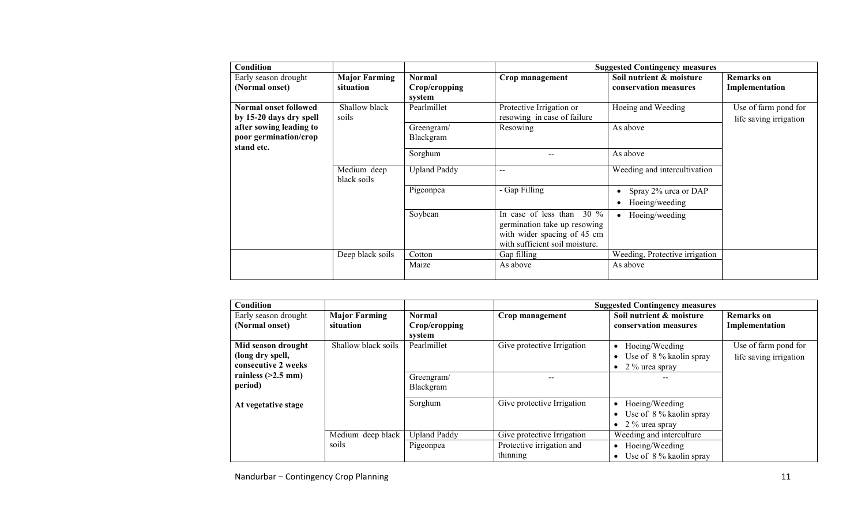| Condition                                                      |                                   |                                          |                                                                                                                                 | <b>Suggested Contingency measures</b>             |                                                |
|----------------------------------------------------------------|-----------------------------------|------------------------------------------|---------------------------------------------------------------------------------------------------------------------------------|---------------------------------------------------|------------------------------------------------|
| Early season drought<br>(Normal onset)                         | <b>Major Farming</b><br>situation | <b>Normal</b><br>Crop/cropping<br>system | Crop management                                                                                                                 | Soil nutrient & moisture<br>conservation measures | <b>Remarks</b> on<br>Implementation            |
| Normal onset followed<br>by 15-20 days dry spell               | Shallow black<br>soils            | Pearlmillet                              | Protective Irrigation or<br>resowing in case of failure                                                                         | Hoeing and Weeding                                | Use of farm pond for<br>life saving irrigation |
| after sowing leading to<br>poor germination/crop<br>stand etc. |                                   | Greengram/<br>Blackgram                  | Resowing                                                                                                                        | As above                                          |                                                |
|                                                                |                                   | Sorghum                                  | $\overline{\phantom{m}}$                                                                                                        | As above                                          |                                                |
|                                                                | Medium deep<br>black soils        | <b>Upland Paddy</b>                      | $\overline{\phantom{m}}$                                                                                                        | Weeding and intercultivation                      |                                                |
|                                                                |                                   | Pigeonpea                                | - Gap Filling                                                                                                                   | Spray 2% urea or DAP<br>Hoeing/weeding            |                                                |
|                                                                |                                   | Soybean                                  | In case of less than<br>$30\%$<br>germination take up resowing<br>with wider spacing of 45 cm<br>with sufficient soil moisture. | Hoeing/weeding                                    |                                                |
|                                                                | Deep black soils                  | Cotton<br>Maize                          | Gap filling<br>As above                                                                                                         | Weeding, Protective irrigation<br>As above        |                                                |

| Condition                                                     |                                   |                                          |                                       | <b>Suggested Contingency measures</b>                                    |                                                |
|---------------------------------------------------------------|-----------------------------------|------------------------------------------|---------------------------------------|--------------------------------------------------------------------------|------------------------------------------------|
| Early season drought<br>(Normal onset)                        | <b>Major Farming</b><br>situation | <b>Normal</b><br>Crop/cropping<br>system | Crop management                       | Soil nutrient & moisture<br>conservation measures                        | Remarks on<br>Implementation                   |
| Mid season drought<br>(long dry spell,<br>consecutive 2 weeks | Shallow black soils               | Pearlmillet                              | Give protective Irrigation            | Hoeing/Weeding<br>Use of 8 % kaolin spray<br>2 % urea spray              | Use of farm pond for<br>life saving irrigation |
| rainless $(>2.5$ mm)<br>period)                               |                                   | Greengram/<br>Blackgram                  |                                       |                                                                          |                                                |
| At vegetative stage                                           |                                   | Sorghum                                  | Give protective Irrigation            | Hoeing/Weeding<br>Use of 8 % kaolin spray<br>2 % urea spray<br>$\bullet$ |                                                |
|                                                               | Medium deep black                 | <b>Upland Paddy</b>                      | Give protective Irrigation            | Weeding and interculture                                                 |                                                |
|                                                               | soils                             | Pigeonpea                                | Protective irrigation and<br>thinning | Hoeing/Weeding<br>Use of 8 % kaolin spray                                |                                                |

Nandurbar – Contingency Crop Planning 11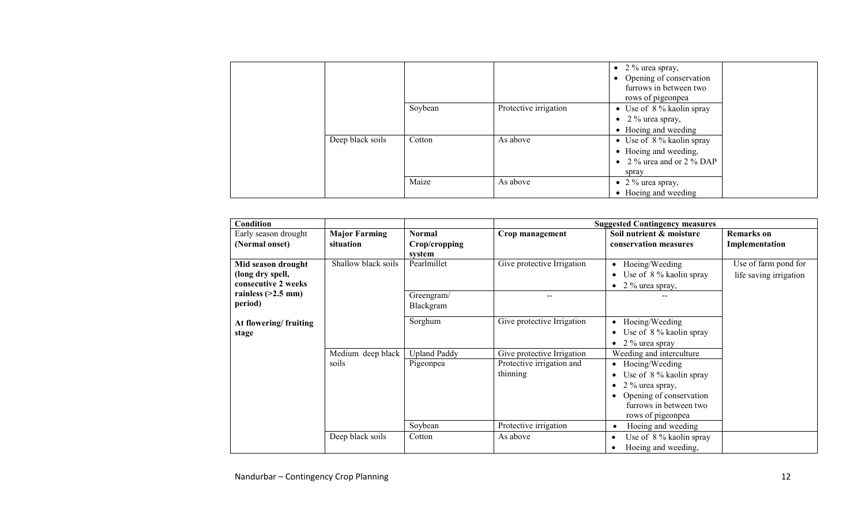|                  |         |                       | • 2 % urea spray,<br>Opening of conservation<br>$\bullet$<br>furrows in between two<br>rows of pigeonpea |
|------------------|---------|-----------------------|----------------------------------------------------------------------------------------------------------|
|                  | Soybean | Protective irrigation | • Use of $8\%$ kaolin spray<br>• $2\%$ urea spray,<br>• Hoeing and weeding                               |
| Deep black soils | Cotton  | As above              | • Use of $8\%$ kaolin spray<br>• Hoeing and weeding,<br>• 2 % urea and or 2 % DAP<br>spray               |
|                  | Maize   | As above              | • 2 % urea spray,<br>• Hoeing and weeding                                                                |

| Condition                                                     |                                   |                                          |                                       | <b>Suggested Contingency measures</b>                                                                                                                 |                                                |
|---------------------------------------------------------------|-----------------------------------|------------------------------------------|---------------------------------------|-------------------------------------------------------------------------------------------------------------------------------------------------------|------------------------------------------------|
| Early season drought<br>(Normal onset)                        | <b>Major Farming</b><br>situation | <b>Normal</b><br>Crop/cropping<br>system | Crop management                       | Soil nutrient & moisture<br>conservation measures                                                                                                     | <b>Remarks</b> on<br>Implementation            |
| Mid season drought<br>(long dry spell,<br>consecutive 2 weeks | Shallow black soils               | Pearlmillet                              | Give protective Irrigation            | Hoeing/Weeding<br>$\bullet$<br>Use of 8 % kaolin spray<br>$\bullet$<br>• 2 % urea spray,                                                              | Use of farm pond for<br>life saving irrigation |
| rainless $(>2.5$ mm)<br>period)                               |                                   | Greengram/<br>Blackgram                  |                                       |                                                                                                                                                       |                                                |
| At flowering/fruiting<br>stage                                |                                   | Sorghum                                  | Give protective Irrigation            | Hoeing/Weeding<br>$\bullet$<br>Use of 8 % kaolin spray<br>$\bullet$<br>• 2 $\%$ urea spray                                                            |                                                |
|                                                               | Medium deep black                 | <b>Upland Paddy</b>                      | Give protective Irrigation            | Weeding and interculture                                                                                                                              |                                                |
|                                                               | soils                             | Pigeonpea                                | Protective irrigation and<br>thinning | • Hoeing/Weeding<br>Use of 8 % kaolin spray<br>$\bullet$<br>2 % urea spray,<br>Opening of conservation<br>furrows in between two<br>rows of pigeonpea |                                                |
|                                                               |                                   | Soybean                                  | Protective irrigation                 | Hoeing and weeding<br>٠                                                                                                                               |                                                |
|                                                               | Deep black soils                  | Cotton                                   | As above                              | Use of 8 % kaolin spray<br>Hoeing and weeding,                                                                                                        |                                                |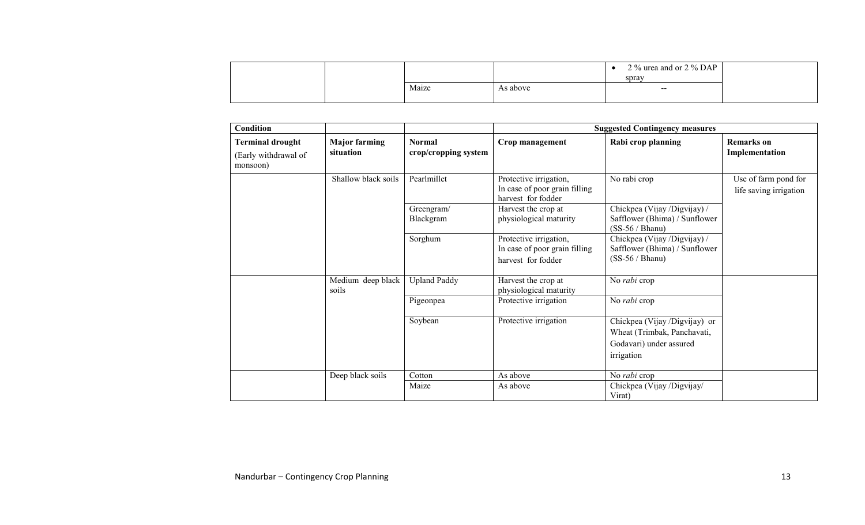|  |       |          | 2 $\%$ urea and or 2 $\%$ DAP<br>spray |  |
|--|-------|----------|----------------------------------------|--|
|  | Maize | As above | $- -$                                  |  |

| Condition                                                   |                                   |                                       |                                                                               | <b>Suggested Contingency measures</b>                                                                 |                                                |
|-------------------------------------------------------------|-----------------------------------|---------------------------------------|-------------------------------------------------------------------------------|-------------------------------------------------------------------------------------------------------|------------------------------------------------|
| <b>Terminal drought</b><br>(Early withdrawal of<br>monsoon) | <b>Major farming</b><br>situation | <b>Normal</b><br>crop/cropping system | Crop management                                                               | Rabi crop planning                                                                                    | <b>Remarks</b> on<br>Implementation            |
|                                                             | Shallow black soils               | Pearlmillet                           | Protective irrigation,<br>In case of poor grain filling<br>harvest for fodder | No rabi crop                                                                                          | Use of farm pond for<br>life saving irrigation |
|                                                             |                                   | Greengram/<br>Blackgram               | Harvest the crop at<br>physiological maturity                                 | Chickpea (Vijay /Digvijay) /<br>Safflower (Bhima) / Sunflower<br>$(SS-56 / Bhanu)$                    |                                                |
|                                                             |                                   | Sorghum                               | Protective irrigation,<br>In case of poor grain filling<br>harvest for fodder | Chickpea (Vijay /Digvijay) /<br>Safflower (Bhima) / Sunflower<br>$(SS-56 / Bhanu)$                    |                                                |
|                                                             | Medium deep black<br>soils        | <b>Upland Paddy</b>                   | Harvest the crop at<br>physiological maturity                                 | No rabi crop                                                                                          |                                                |
|                                                             |                                   | Pigeonpea                             | Protective irrigation                                                         | No rabi crop                                                                                          |                                                |
|                                                             |                                   | Soybean                               | Protective irrigation                                                         | Chickpea (Vijay /Digvijay) or<br>Wheat (Trimbak, Panchavati,<br>Godavari) under assured<br>irrigation |                                                |
|                                                             | Deep black soils                  | Cotton                                | As above                                                                      | No rabi crop                                                                                          |                                                |
|                                                             |                                   | Maize                                 | As above                                                                      | Chickpea (Vijay /Digvijay/<br>Virat)                                                                  |                                                |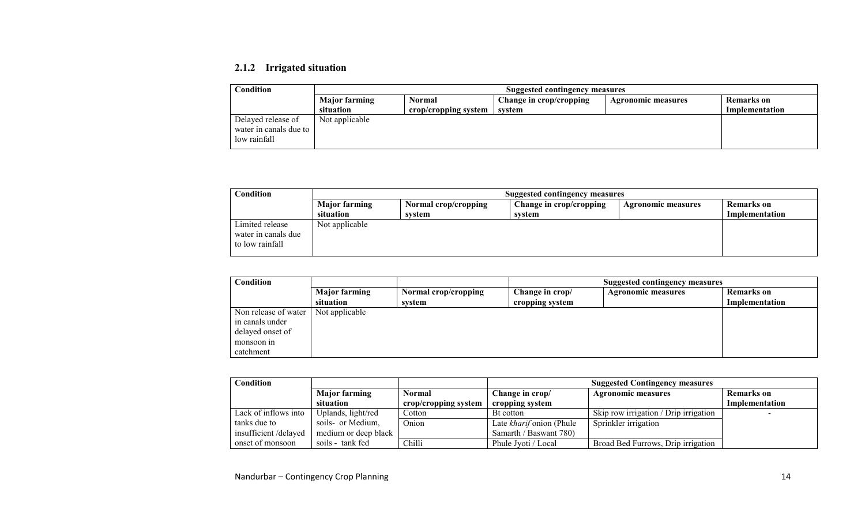## 2.1.2 Irrigated situation

| Condition              | <b>Suggested contingency measures</b> |                                                                              |        |  |                |  |  |  |
|------------------------|---------------------------------------|------------------------------------------------------------------------------|--------|--|----------------|--|--|--|
|                        | <b>Major farming</b>                  | Change in crop/cropping<br>Remarks on<br>Normal<br><b>Agronomic measures</b> |        |  |                |  |  |  |
|                        | situation                             | crop/cropping system                                                         | svstem |  | Implementation |  |  |  |
| Delayed release of     | Not applicable                        |                                                                              |        |  |                |  |  |  |
| water in canals due to |                                       |                                                                              |        |  |                |  |  |  |
| low rainfall           |                                       |                                                                              |        |  |                |  |  |  |

| Condition           | Suggested contingency measures |                      |                         |                    |                |  |
|---------------------|--------------------------------|----------------------|-------------------------|--------------------|----------------|--|
|                     | <b>Major farming</b>           | Normal crop/cropping | Change in crop/cropping | Agronomic measures | Remarks on     |  |
|                     | situation                      | svstem               | system                  |                    | Implementation |  |
| Limited release     | Not applicable                 |                      |                         |                    |                |  |
| water in canals due |                                |                      |                         |                    |                |  |
| to low rainfall     |                                |                      |                         |                    |                |  |
|                     |                                |                      |                         |                    |                |  |

| $\cap$ ondition $\cap$ |                      | Suggested contingency measures |                 |                           |                   |
|------------------------|----------------------|--------------------------------|-----------------|---------------------------|-------------------|
|                        | <b>Major farming</b> | Normal crop/cropping           | Change in crop/ | <b>Agronomic measures</b> | <b>Remarks</b> on |
|                        | situation            | system                         | cropping system |                           | Implementation    |
| Non release of water   | Not applicable       |                                |                 |                           |                   |
| in canals under        |                      |                                |                 |                           |                   |
| delayed onset of       |                      |                                |                 |                           |                   |
| monsoon in             |                      |                                |                 |                           |                   |
| catchment              |                      |                                |                 |                           |                   |

| Condition            |                      |                      | <b>Suggested Contingency measures</b> |                                                |                |  |
|----------------------|----------------------|----------------------|---------------------------------------|------------------------------------------------|----------------|--|
|                      | <b>Major farming</b> | <b>Normal</b>        | Change in crop/                       | <b>Remarks</b> on<br><b>Agronomic measures</b> |                |  |
|                      | situation            | crop/cropping system | cropping system                       |                                                | Implementation |  |
| Lack of inflows into | Uplands, light/red   | Cotton               | Bt cotton                             | Skip row irrigation / Drip irrigation          |                |  |
| tanks due to         | soils- or Medium,    | <b>Onion</b>         | Late kharif onion (Phule              | Sprinkler irrigation                           |                |  |
| insufficient/delayed | medium or deep black |                      | Samarth / Baswant 780)                |                                                |                |  |
| onset of monsoon     | soils - tank fed     | <b>Chilli</b>        | Phule Jvoti / Local                   | Broad Bed Furrows, Drip irrigation             |                |  |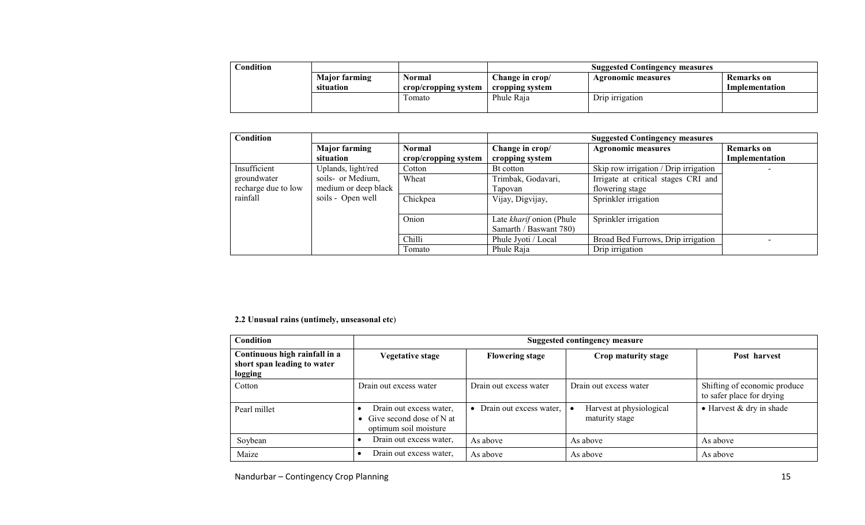| $\complement$ ondition |                                   |                                       | <b>Suggested Contingency measures</b>                                                    |                 |  |
|------------------------|-----------------------------------|---------------------------------------|------------------------------------------------------------------------------------------|-----------------|--|
|                        | <b>Major farming</b><br>situation | <b>Normal</b><br>crop/cropping system | Change in crop/<br>Remarks on<br>Agronomic measures<br>Implementation<br>cropping system |                 |  |
|                        |                                   | Fomato                                | Phule Raia                                                                               | Drip irrigation |  |

| <b>Condition</b>    |                      |                      | <b>Suggested Contingency measures</b> |                                       |                   |
|---------------------|----------------------|----------------------|---------------------------------------|---------------------------------------|-------------------|
|                     | <b>Major farming</b> | <b>Normal</b>        | Change in crop/                       | <b>Agronomic measures</b>             | <b>Remarks</b> on |
|                     | situation            | crop/cropping system | cropping system                       |                                       | Implementation    |
| Insufficient        | Uplands, light/red   | Cotton               | Bt cotton                             | Skip row irrigation / Drip irrigation |                   |
| groundwater         | soils- or Medium,    | Wheat                | Trimbak, Godavari,                    | Irrigate at critical stages CRI and   |                   |
| recharge due to low | medium or deep black |                      | Tapovan                               | flowering stage                       |                   |
| rainfall            | soils - Open well    | Chickpea             | Vijay, Digvijay,                      | Sprinkler irrigation                  |                   |
|                     |                      |                      |                                       |                                       |                   |
|                     |                      | Onion                | Late kharif onion (Phule              | Sprinkler irrigation                  |                   |
|                     |                      |                      | Samarth / Baswant 780)                |                                       |                   |
|                     |                      | Chilli               | Phule Jyoti / Local                   | Broad Bed Furrows, Drip irrigation    |                   |
|                     |                      | Fomato               | Phule Raja                            | Drip irrigation                       |                   |

#### 2.2 Unusual rains (untimely, unseasonal etc)

| <b>Condition</b>                                                        |                                                                                | <b>Suggested contingency measure</b> |                                            |                                                           |  |  |
|-------------------------------------------------------------------------|--------------------------------------------------------------------------------|--------------------------------------|--------------------------------------------|-----------------------------------------------------------|--|--|
| Continuous high rainfall in a<br>short span leading to water<br>logging | <b>Vegetative stage</b>                                                        | <b>Flowering stage</b>               | Crop maturity stage                        | Post harvest                                              |  |  |
| Cotton                                                                  | Drain out excess water                                                         | Drain out excess water               | Drain out excess water                     | Shifting of economic produce<br>to safer place for drying |  |  |
| Pearl millet                                                            | Drain out excess water,<br>• Give second dose of N at<br>optimum soil moisture | • Drain out excess water,            | Harvest at physiological<br>maturity stage | • Harvest & dry in shade                                  |  |  |
| Soybean                                                                 | Drain out excess water,                                                        | As above                             | As above                                   | As above                                                  |  |  |
| Maize                                                                   | Drain out excess water,                                                        | As above                             | As above                                   | As above                                                  |  |  |

Nandurbar – Contingency Crop Planning 15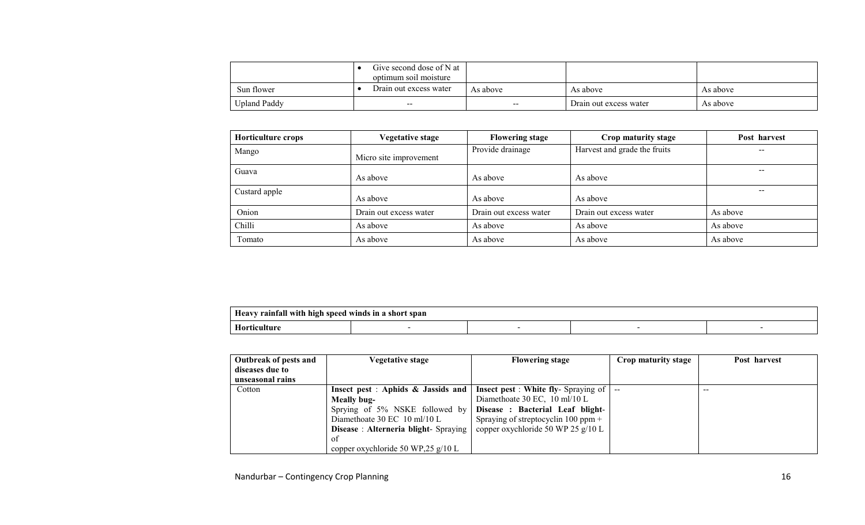|                     | Give second dose of N at $\parallel$<br>optimum soil moisture |            |                        |          |
|---------------------|---------------------------------------------------------------|------------|------------------------|----------|
| Sun flower          | Drain out excess water                                        | As above   | As above               | As above |
| <b>Upland Paddy</b> | $- -$                                                         | $\sim$ $-$ | Drain out excess water | As above |

| <b>Horticulture crops</b> | <b>Vegetative stage</b> | <b>Flowering stage</b> | Crop maturity stage          | Post harvest |
|---------------------------|-------------------------|------------------------|------------------------------|--------------|
| Mango                     | Micro site improvement  | Provide drainage       | Harvest and grade the fruits | $- -$        |
| Guava                     | As above                | As above               | As above                     | $- -$        |
| Custard apple             | As above                | As above               | As above                     | $- -$        |
| Onion                     | Drain out excess water  | Drain out excess water | Drain out excess water       | As above     |
| Chilli                    | As above                | As above               | As above                     | As above     |
| Tomato                    | As above                | As above               | As above                     | As above     |

| <b>Heavy</b><br>l winds in a short span-<br><sup>,</sup> raintall with high <b>.</b><br>⊦speed |  |  |  |  |  |
|------------------------------------------------------------------------------------------------|--|--|--|--|--|
| TТ                                                                                             |  |  |  |  |  |

| Outbreak of pests and | <b>Vegetative stage</b>                     | <b>Flowering stage</b>                          | Crop maturity stage | Post harvest |
|-----------------------|---------------------------------------------|-------------------------------------------------|---------------------|--------------|
| diseases due to       |                                             |                                                 |                     |              |
| unseasonal rains      |                                             |                                                 |                     |              |
| Cotton                | Insect pest : Aphids & Jassids and          | <b>Insect pest: White fly-Spraying of</b>       |                     |              |
|                       | Meally bug-                                 | Diamethoate 30 EC, $10 \text{ ml}/10 \text{ L}$ |                     |              |
|                       | Sprying of 5% NSKE followed by              | Disease : Bacterial Leaf blight-                |                     |              |
|                       | Diamethoate $30 \text{ EC}$ 10 ml/10 L      | Spraying of streptocyclin $100$ ppm +           |                     |              |
|                       | <b>Disease: Alterneria blight-</b> Spraying | copper oxychloride 50 WP 25 $g/10$ L            |                     |              |
|                       | 0t                                          |                                                 |                     |              |
|                       | copper oxychloride 50 WP,25 $g/10$ L        |                                                 |                     |              |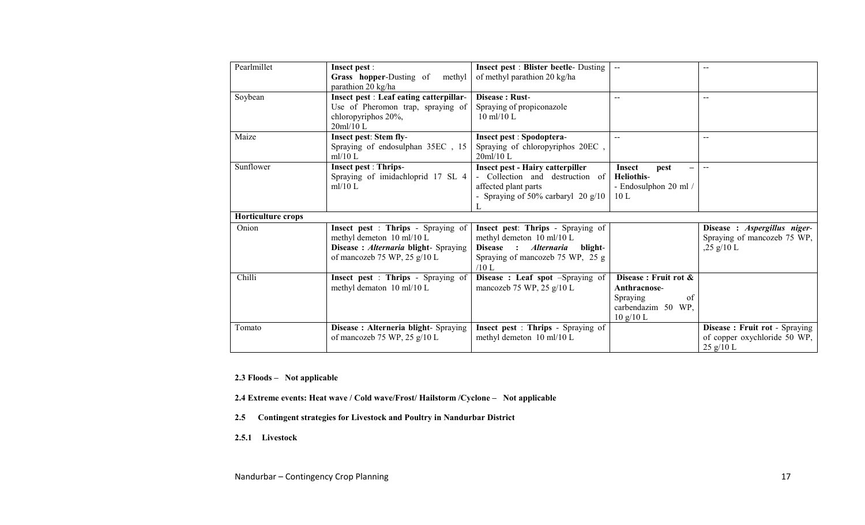| Pearlmillet        | <b>Insect pest:</b>                       | <b>Insect pest : Blister beetle- Dusting</b>                   | $\sim$                |                                       |
|--------------------|-------------------------------------------|----------------------------------------------------------------|-----------------------|---------------------------------------|
|                    | Grass hopper-Dusting of<br>methyl         | of methyl parathion 20 kg/ha                                   |                       |                                       |
|                    | parathion 20 kg/ha                        |                                                                |                       |                                       |
| Soybean            | Insect pest : Leaf eating catterpillar-   | Disease: Rust-                                                 | $- -$                 | $-$                                   |
|                    | Use of Pheromon trap, spraying of         | Spraying of propiconazole                                      |                       |                                       |
|                    | chloropyriphos 20%,                       | $10 \text{ ml}/10 \text{ L}$                                   |                       |                                       |
|                    | $20$ ml/10 L                              |                                                                |                       |                                       |
| Maize              | Insect pest: Stem fly-                    | <b>Insect pest : Spodoptera-</b>                               |                       | $-$                                   |
|                    | Spraying of endosulphan 35EC, 15          | Spraying of chloropyriphos 20EC,                               |                       |                                       |
|                    | ml/10 L                                   | 20ml/10 L                                                      |                       |                                       |
| Sunflower          | <b>Insect pest: Thrips-</b>               | <b>Insect pest - Hairy catterpiller</b>                        | Insect<br>pest        | $\sim$ $\sim$                         |
|                    | Spraying of imidachloprid 17 SL 4         | Collection and destruction of                                  | Heliothis-            |                                       |
|                    | ml/10 L                                   | affected plant parts                                           | - Endosulphon 20 ml / |                                       |
|                    |                                           | - Spraying of $50\%$ carbaryl 20 g/10                          | 10L                   |                                       |
|                    |                                           |                                                                |                       |                                       |
| Horticulture crops |                                           |                                                                |                       |                                       |
| Onion              | <b>Insect pest : Thrips - Spraying of</b> | Insect pest: Thrips - Spraying of                              |                       | Disease : Aspergillus niger-          |
|                    | methyl demeton 10 ml/10 L                 | methyl demeton 10 ml/10 L                                      |                       | Spraying of mancozeb 75 WP,           |
|                    | Disease: Alternaria blight- Spraying      | <b>Alternaria</b><br><b>Disease</b><br>$\bullet$<br>blight-    |                       | $,25 \frac{\text{g}}{10}$ L           |
|                    | of mancozeb 75 WP, 25 $g/10$ L            | Spraying of mancozeb 75 WP, 25 g<br>$/10$ L                    |                       |                                       |
| Chilli             | Insect pest : Thrips - Spraying of        |                                                                | Disease: Fruit rot &  |                                       |
|                    | methyl dematon 10 ml/10 L                 | Disease: Leaf spot -Spraying of<br>mancozeb 75 WP, 25 $g/10$ L | Anthracnose-          |                                       |
|                    |                                           |                                                                | of<br>Spraying        |                                       |
|                    |                                           |                                                                | carbendazim 50 WP,    |                                       |
|                    |                                           |                                                                | 10 g/10 L             |                                       |
| Tomato             | Disease : Alterneria blight- Spraying     | Insect pest : Thrips - Spraying of                             |                       | <b>Disease : Fruit rot - Spraying</b> |
|                    | of mancozeb 75 WP, 25 $g/10$ L            | methyl demeton 10 ml/10 L                                      |                       | of copper oxychloride 50 WP,          |
|                    |                                           |                                                                |                       | $25$ g/10 L                           |

2.3 Floods – Not applicable

2.4 Extreme events: Heat wave / Cold wave/Frost/ Hailstorm /Cyclone – Not applicable

- 2.5Contingent strategies for Livestock and Poultry in Nandurbar District
- 2.5.1 Livestock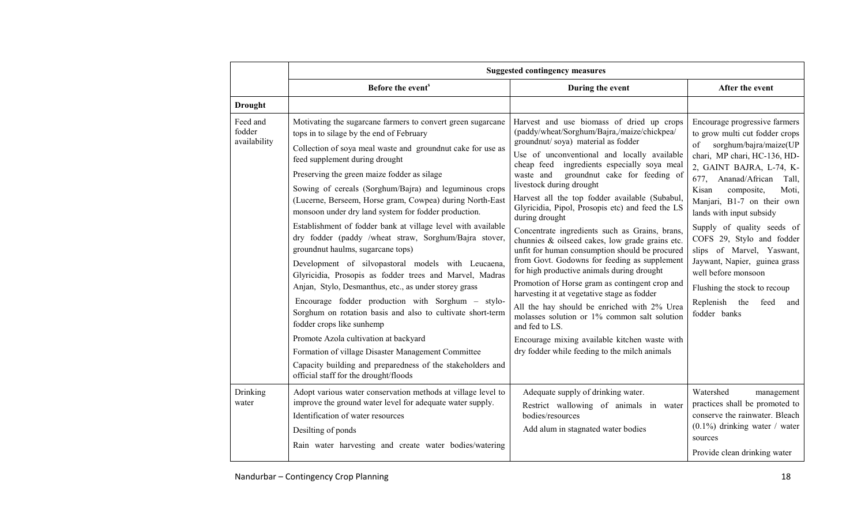|                                    |                                                                                                                                                                                                                                                                                                                                                                                                                                                                                                                                                                                                                                                                                                                                                                                                                                                                                                                                                                                                                                                                                                                                     | <b>Suggested contingency measures</b>                                                                                                                                                                                                                                                                                                                                                                                                                                                                                                                                                                                                                                                                                                                                                                                                                                                                                                                                                                   |                                                                                                                                                                                                                                                                                                                                                                                                                                                                                                                       |
|------------------------------------|-------------------------------------------------------------------------------------------------------------------------------------------------------------------------------------------------------------------------------------------------------------------------------------------------------------------------------------------------------------------------------------------------------------------------------------------------------------------------------------------------------------------------------------------------------------------------------------------------------------------------------------------------------------------------------------------------------------------------------------------------------------------------------------------------------------------------------------------------------------------------------------------------------------------------------------------------------------------------------------------------------------------------------------------------------------------------------------------------------------------------------------|---------------------------------------------------------------------------------------------------------------------------------------------------------------------------------------------------------------------------------------------------------------------------------------------------------------------------------------------------------------------------------------------------------------------------------------------------------------------------------------------------------------------------------------------------------------------------------------------------------------------------------------------------------------------------------------------------------------------------------------------------------------------------------------------------------------------------------------------------------------------------------------------------------------------------------------------------------------------------------------------------------|-----------------------------------------------------------------------------------------------------------------------------------------------------------------------------------------------------------------------------------------------------------------------------------------------------------------------------------------------------------------------------------------------------------------------------------------------------------------------------------------------------------------------|
|                                    | Before the event <sup>s</sup>                                                                                                                                                                                                                                                                                                                                                                                                                                                                                                                                                                                                                                                                                                                                                                                                                                                                                                                                                                                                                                                                                                       | During the event                                                                                                                                                                                                                                                                                                                                                                                                                                                                                                                                                                                                                                                                                                                                                                                                                                                                                                                                                                                        | After the event                                                                                                                                                                                                                                                                                                                                                                                                                                                                                                       |
| <b>Drought</b>                     |                                                                                                                                                                                                                                                                                                                                                                                                                                                                                                                                                                                                                                                                                                                                                                                                                                                                                                                                                                                                                                                                                                                                     |                                                                                                                                                                                                                                                                                                                                                                                                                                                                                                                                                                                                                                                                                                                                                                                                                                                                                                                                                                                                         |                                                                                                                                                                                                                                                                                                                                                                                                                                                                                                                       |
| Feed and<br>fodder<br>availability | Motivating the sugarcane farmers to convert green sugarcane<br>tops in to silage by the end of February<br>Collection of soya meal waste and groundnut cake for use as<br>feed supplement during drought<br>Preserving the green maize fodder as silage<br>Sowing of cereals (Sorghum/Bajra) and leguminous crops<br>(Lucerne, Berseem, Horse gram, Cowpea) during North-East<br>monsoon under dry land system for fodder production.<br>Establishment of fodder bank at village level with available<br>dry fodder (paddy /wheat straw, Sorghum/Bajra stover,<br>groundnut haulms, sugarcane tops)<br>Development of silvopastoral models with Leucaena,<br>Glyricidia, Prosopis as fodder trees and Marvel, Madras<br>Anjan, Stylo, Desmanthus, etc., as under storey grass<br>Encourage fodder production with Sorghum - stylo-<br>Sorghum on rotation basis and also to cultivate short-term<br>fodder crops like sunhemp<br>Promote Azola cultivation at backyard<br>Formation of village Disaster Management Committee<br>Capacity building and preparedness of the stakeholders and<br>official staff for the drought/floods | Harvest and use biomass of dried up crops<br>(paddy/wheat/Sorghum/Bajra,/maize/chickpea/<br>groundnut/soya) material as fodder<br>Use of unconventional and locally available<br>cheap feed ingredients especially soya meal<br>groundnut cake for feeding of<br>waste and<br>livestock during drought<br>Harvest all the top fodder available (Subabul,<br>Glyricidia, Pipol, Prosopis etc) and feed the LS<br>during drought<br>Concentrate ingredients such as Grains, brans,<br>chunnies & oilseed cakes, low grade grains etc.<br>unfit for human consumption should be procured<br>from Govt. Godowns for feeding as supplement<br>for high productive animals during drought<br>Promotion of Horse gram as contingent crop and<br>harvesting it at vegetative stage as fodder<br>All the hay should be enriched with 2% Urea<br>molasses solution or 1% common salt solution<br>and fed to LS.<br>Encourage mixing available kitchen waste with<br>dry fodder while feeding to the milch animals | Encourage progressive farmers<br>to grow multi cut fodder crops<br>sorghum/bajra/maize(UP<br>of<br>chari, MP chari, HC-136, HD-<br>2, GAINT BAJRA, L-74, K-<br>677, Ananad/African<br>Tall.<br>Kisan<br>composite,<br>Moti,<br>Manjari, B1-7 on their own<br>lands with input subsidy<br>Supply of quality seeds of<br>COFS 29, Stylo and fodder<br>slips of Marvel, Yaswant,<br>Jaywant, Napier, guinea grass<br>well before monsoon<br>Flushing the stock to recoup<br>Replenish the<br>feed<br>and<br>fodder banks |
| Drinking<br>water                  | Adopt various water conservation methods at village level to<br>improve the ground water level for adequate water supply.<br>Identification of water resources<br>Desilting of ponds                                                                                                                                                                                                                                                                                                                                                                                                                                                                                                                                                                                                                                                                                                                                                                                                                                                                                                                                                | Adequate supply of drinking water.<br>Restrict wallowing of animals in water<br>bodies/resources<br>Add alum in stagnated water bodies                                                                                                                                                                                                                                                                                                                                                                                                                                                                                                                                                                                                                                                                                                                                                                                                                                                                  | Watershed<br>management<br>practices shall be promoted to<br>conserve the rainwater. Bleach<br>$(0.1\%)$ drinking water / water                                                                                                                                                                                                                                                                                                                                                                                       |
|                                    | Rain water harvesting and create water bodies/watering                                                                                                                                                                                                                                                                                                                                                                                                                                                                                                                                                                                                                                                                                                                                                                                                                                                                                                                                                                                                                                                                              |                                                                                                                                                                                                                                                                                                                                                                                                                                                                                                                                                                                                                                                                                                                                                                                                                                                                                                                                                                                                         | sources<br>Provide clean drinking water                                                                                                                                                                                                                                                                                                                                                                                                                                                                               |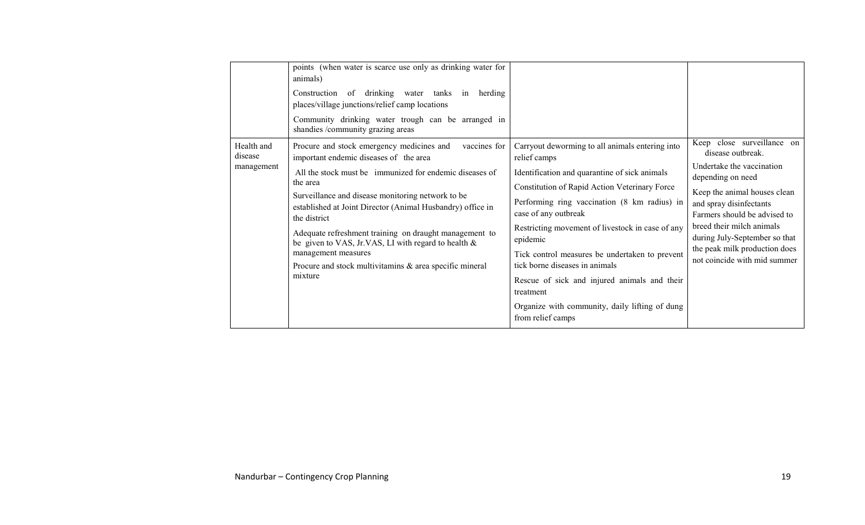|                                     | points (when water is scarce use only as drinking water for<br>animals)<br>Construction of drinking water tanks<br>in herding<br>places/village junctions/relief camp locations<br>Community drinking water trough can be arranged in<br>shandies /community grazing areas                                                                                                                                                                                                                                                        |                                                                                                                                                                                                                                                                                                                                                                                                                                                                                                                                   |                                                                                                                                                                                                                                                                                                                             |
|-------------------------------------|-----------------------------------------------------------------------------------------------------------------------------------------------------------------------------------------------------------------------------------------------------------------------------------------------------------------------------------------------------------------------------------------------------------------------------------------------------------------------------------------------------------------------------------|-----------------------------------------------------------------------------------------------------------------------------------------------------------------------------------------------------------------------------------------------------------------------------------------------------------------------------------------------------------------------------------------------------------------------------------------------------------------------------------------------------------------------------------|-----------------------------------------------------------------------------------------------------------------------------------------------------------------------------------------------------------------------------------------------------------------------------------------------------------------------------|
| Health and<br>disease<br>management | Procure and stock emergency medicines and<br>vaccines for<br>important endemic diseases of the area<br>All the stock must be immunized for endemic diseases of<br>the area<br>Surveillance and disease monitoring network to be<br>established at Joint Director (Animal Husbandry) office in<br>the district<br>Adequate refreshment training on draught management to<br>be given to VAS, Jr.VAS, LI with regard to health $\&$<br>management measures<br>Procure and stock multivitamins $\&$ area specific mineral<br>mixture | Carryout deworming to all animals entering into<br>relief camps<br>Identification and quarantine of sick animals<br>Constitution of Rapid Action Veterinary Force<br>Performing ring vaccination (8 km radius) in<br>case of any outbreak<br>Restricting movement of livestock in case of any<br>epidemic<br>Tick control measures be undertaken to prevent<br>tick borne diseases in animals<br>Rescue of sick and injured animals and their<br>treatment<br>Organize with community, daily lifting of dung<br>from relief camps | Keep close surveillance on<br>disease outbreak.<br>Undertake the vaccination<br>depending on need<br>Keep the animal houses clean<br>and spray disinfectants<br>Farmers should be advised to<br>breed their milch animals<br>during July-September so that<br>the peak milk production does<br>not coincide with mid summer |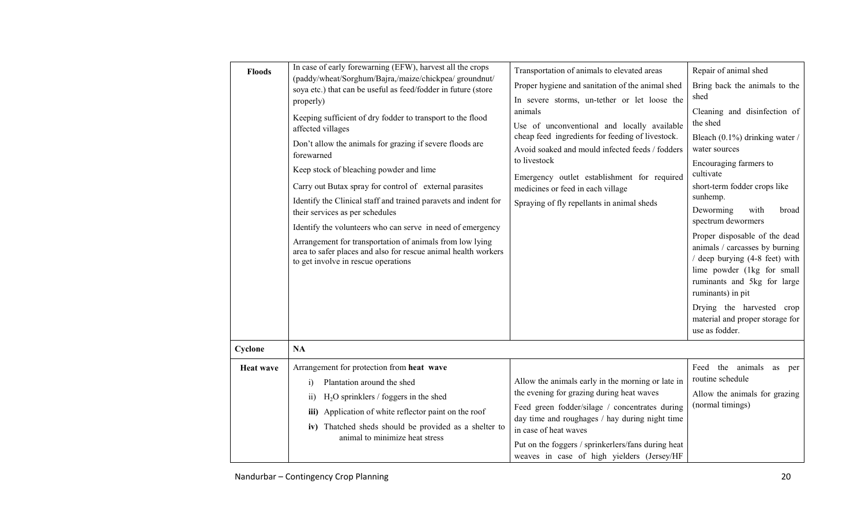| <b>Floods</b>    | In case of early forewarning (EFW), harvest all the crops<br>(paddy/wheat/Sorghum/Bajra,/maize/chickpea/ groundnut/<br>soya etc.) that can be useful as feed/fodder in future (store<br>properly)<br>Keeping sufficient of dry fodder to transport to the flood<br>affected villages<br>Don't allow the animals for grazing if severe floods are<br>forewarned<br>Keep stock of bleaching powder and lime<br>Carry out Butax spray for control of external parasites<br>Identify the Clinical staff and trained paravets and indent for<br>their services as per schedules<br>Identify the volunteers who can serve in need of emergency<br>Arrangement for transportation of animals from low lying<br>area to safer places and also for rescue animal health workers<br>to get involve in rescue operations | Transportation of animals to elevated areas<br>Proper hygiene and sanitation of the animal shed<br>In severe storms, un-tether or let loose the<br>animals<br>Use of unconventional and locally available<br>cheap feed ingredients for feeding of livestock.<br>Avoid soaked and mould infected feeds / fodders<br>to livestock<br>Emergency outlet establishment for required<br>medicines or feed in each village<br>Spraying of fly repellants in animal sheds | Repair of animal shed<br>Bring back the animals to the<br>shed<br>Cleaning and disinfection of<br>the shed<br>Bleach (0.1%) drinking water /<br>water sources<br>Encouraging farmers to<br>cultivate<br>short-term fodder crops like<br>sunhemp.<br>Deworming<br>with<br>broad<br>spectrum dewormers<br>Proper disposable of the dead<br>animals / carcasses by burning<br>/ deep burying (4-8 feet) with<br>lime powder (1kg for small<br>ruminants and 5kg for large<br>ruminants) in pit<br>Drying the harvested crop |
|------------------|---------------------------------------------------------------------------------------------------------------------------------------------------------------------------------------------------------------------------------------------------------------------------------------------------------------------------------------------------------------------------------------------------------------------------------------------------------------------------------------------------------------------------------------------------------------------------------------------------------------------------------------------------------------------------------------------------------------------------------------------------------------------------------------------------------------|--------------------------------------------------------------------------------------------------------------------------------------------------------------------------------------------------------------------------------------------------------------------------------------------------------------------------------------------------------------------------------------------------------------------------------------------------------------------|--------------------------------------------------------------------------------------------------------------------------------------------------------------------------------------------------------------------------------------------------------------------------------------------------------------------------------------------------------------------------------------------------------------------------------------------------------------------------------------------------------------------------|
|                  |                                                                                                                                                                                                                                                                                                                                                                                                                                                                                                                                                                                                                                                                                                                                                                                                               |                                                                                                                                                                                                                                                                                                                                                                                                                                                                    | material and proper storage for<br>use as fodder.                                                                                                                                                                                                                                                                                                                                                                                                                                                                        |
| Cyclone          | <b>NA</b>                                                                                                                                                                                                                                                                                                                                                                                                                                                                                                                                                                                                                                                                                                                                                                                                     |                                                                                                                                                                                                                                                                                                                                                                                                                                                                    |                                                                                                                                                                                                                                                                                                                                                                                                                                                                                                                          |
| <b>Heat wave</b> | Arrangement for protection from heat wave<br>Plantation around the shed<br>$\ddot{1}$<br>$H2O$ sprinklers / foggers in the shed<br>$\overline{11}$<br>iii) Application of white reflector paint on the roof<br>iv) Thatched sheds should be provided as a shelter to<br>animal to minimize heat stress                                                                                                                                                                                                                                                                                                                                                                                                                                                                                                        | Allow the animals early in the morning or late in<br>the evening for grazing during heat waves<br>Feed green fodder/silage / concentrates during<br>day time and roughages / hay during night time<br>in case of heat waves<br>Put on the foggers / sprinkerlers/fans during heat<br>weaves in case of high yielders (Jersey/HF                                                                                                                                    | Feed the animals<br>as<br>per<br>routine schedule<br>Allow the animals for grazing<br>(normal timings)                                                                                                                                                                                                                                                                                                                                                                                                                   |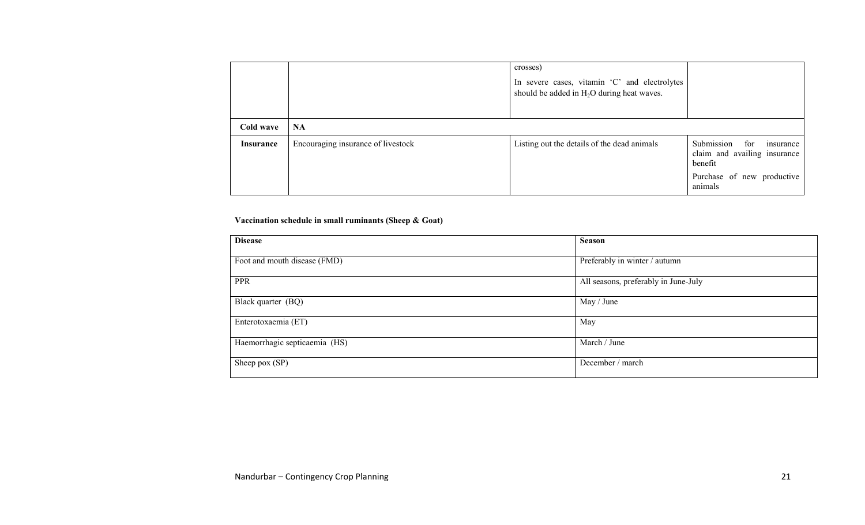|                  |                                    | crosses)<br>In severe cases, vitamin 'C' and electrolytes<br>should be added in H <sub>2</sub> O during heat waves. |                                                                                                                    |
|------------------|------------------------------------|---------------------------------------------------------------------------------------------------------------------|--------------------------------------------------------------------------------------------------------------------|
| Cold wave        | <b>NA</b>                          |                                                                                                                     |                                                                                                                    |
| <b>Insurance</b> | Encouraging insurance of livestock | Listing out the details of the dead animals                                                                         | Submission<br>for<br>insurance<br>claim and availing insurance<br>benefit<br>Purchase of new productive<br>animals |

#### Vaccination schedule in small ruminants (Sheep & Goat)

| <b>Disease</b>                | <b>Season</b>                        |
|-------------------------------|--------------------------------------|
| Foot and mouth disease (FMD)  | Preferably in winter / autumn        |
| <b>PPR</b>                    | All seasons, preferably in June-July |
| Black quarter (BQ)            | May / June                           |
| Enterotoxaemia (ET)           | May                                  |
| Haemorrhagic septicaemia (HS) | March / June                         |
| Sheep pox (SP)                | December / march                     |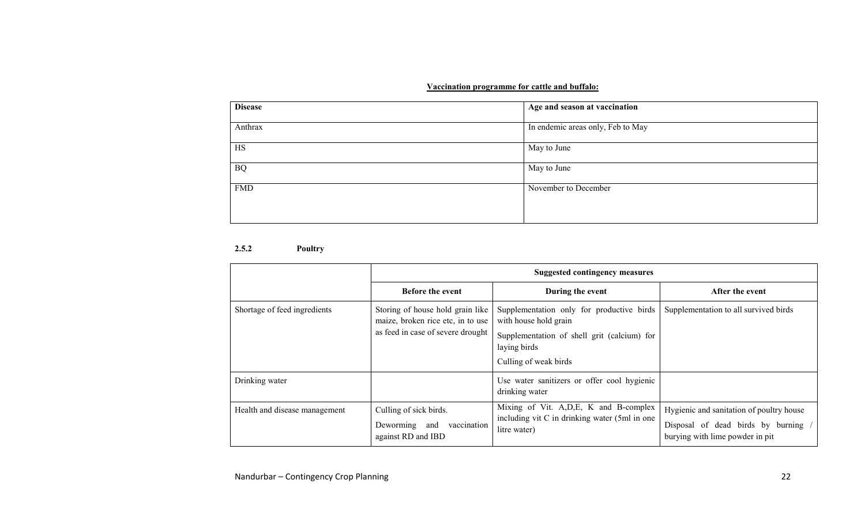#### Vaccination programme for cattle and buffalo:

| <b>Disease</b> | Age and season at vaccination     |
|----------------|-----------------------------------|
| Anthrax        | In endemic areas only, Feb to May |
| HS             | May to June                       |
| <b>BQ</b>      | May to June                       |
| <b>FMD</b>     | November to December              |

#### 2.5.2 Poultry

|                               | <b>Suggested contingency measures</b>                                                                      |                                                                                                                                                            |                                                                                                                    |
|-------------------------------|------------------------------------------------------------------------------------------------------------|------------------------------------------------------------------------------------------------------------------------------------------------------------|--------------------------------------------------------------------------------------------------------------------|
|                               | <b>Before the event</b>                                                                                    | During the event                                                                                                                                           | After the event                                                                                                    |
| Shortage of feed ingredients  | Storing of house hold grain like<br>maize, broken rice etc, in to use<br>as feed in case of severe drought | Supplementation only for productive birds<br>with house hold grain<br>Supplementation of shell grit (calcium) for<br>laying birds<br>Culling of weak birds | Supplementation to all survived birds                                                                              |
| Drinking water                |                                                                                                            | Use water sanitizers or offer cool hygienic<br>drinking water                                                                                              |                                                                                                                    |
| Health and disease management | Culling of sick birds.<br>Deworming and<br>vaccination<br>against RD and IBD                               | Mixing of Vit. A, D, E, K and B-complex<br>including vit C in drinking water (5ml in one)<br>litre water)                                                  | Hygienic and sanitation of poultry house<br>Disposal of dead birds by burning /<br>burying with lime powder in pit |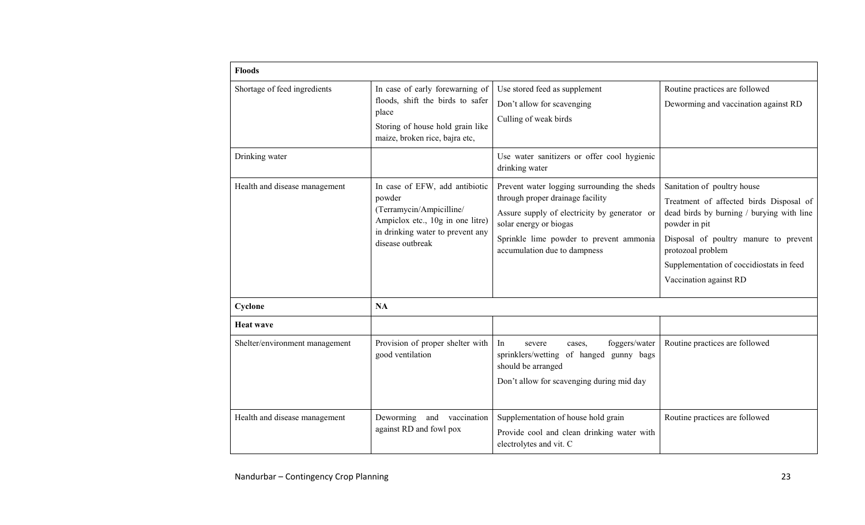| <b>Floods</b>                  |                                                                                                                                                                  |                                                                                                                                                                                                                                      |                                                                                                                                                                                                                                                                          |
|--------------------------------|------------------------------------------------------------------------------------------------------------------------------------------------------------------|--------------------------------------------------------------------------------------------------------------------------------------------------------------------------------------------------------------------------------------|--------------------------------------------------------------------------------------------------------------------------------------------------------------------------------------------------------------------------------------------------------------------------|
| Shortage of feed ingredients   | In case of early forewarning of<br>floods, shift the birds to safer<br>place<br>Storing of house hold grain like<br>maize, broken rice, bajra etc,               | Use stored feed as supplement<br>Don't allow for scavenging<br>Culling of weak birds                                                                                                                                                 | Routine practices are followed<br>Deworming and vaccination against RD                                                                                                                                                                                                   |
| Drinking water                 |                                                                                                                                                                  | Use water sanitizers or offer cool hygienic<br>drinking water                                                                                                                                                                        |                                                                                                                                                                                                                                                                          |
| Health and disease management  | In case of EFW, add antibiotic<br>powder<br>(Terramycin/Ampicilline/<br>Ampiclox etc., 10g in one litre)<br>in drinking water to prevent any<br>disease outbreak | Prevent water logging surrounding the sheds<br>through proper drainage facility<br>Assure supply of electricity by generator or<br>solar energy or biogas<br>Sprinkle lime powder to prevent ammonia<br>accumulation due to dampness | Sanitation of poultry house<br>Treatment of affected birds Disposal of<br>dead birds by burning / burying with line<br>powder in pit<br>Disposal of poultry manure to prevent<br>protozoal problem<br>Supplementation of coccidiostats in feed<br>Vaccination against RD |
| Cyclone                        | NA                                                                                                                                                               |                                                                                                                                                                                                                                      |                                                                                                                                                                                                                                                                          |
| <b>Heat wave</b>               |                                                                                                                                                                  |                                                                                                                                                                                                                                      |                                                                                                                                                                                                                                                                          |
| Shelter/environment management | Provision of proper shelter with<br>good ventilation                                                                                                             | In<br>foggers/water<br>severe<br>cases,<br>sprinklers/wetting of hanged<br>gunny bags<br>should be arranged<br>Don't allow for scavenging during mid day                                                                             | Routine practices are followed                                                                                                                                                                                                                                           |
| Health and disease management  | Deworming<br>and<br>vaccination<br>against RD and fowl pox                                                                                                       | Supplementation of house hold grain<br>Provide cool and clean drinking water with<br>electrolytes and vit. C                                                                                                                         | Routine practices are followed                                                                                                                                                                                                                                           |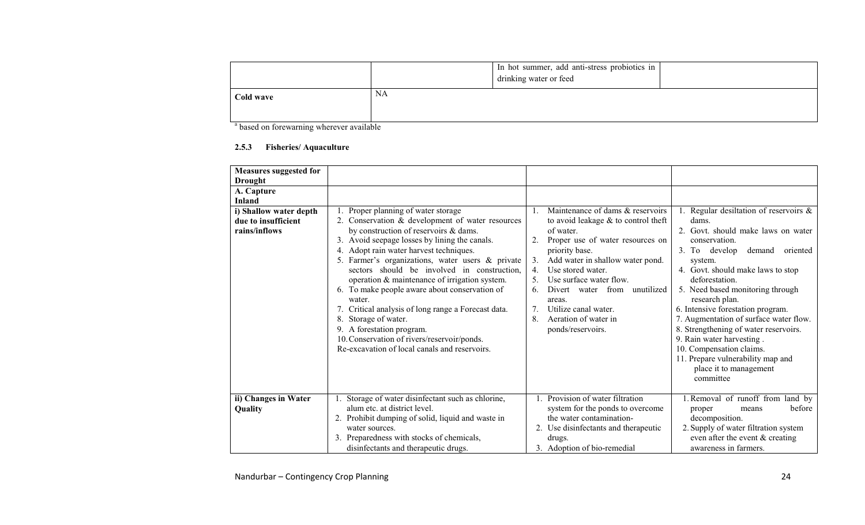|           |           | In hot summer, add anti-stress probiotics in<br>drinking water or feed |  |
|-----------|-----------|------------------------------------------------------------------------|--|
| Cold wave | <b>NA</b> |                                                                        |  |

<sup>a</sup> based on forewarning wherever available

### 2.5.3 Fisheries/ Aquaculture

| <b>Measures suggested for</b><br><b>Drought</b>                |                                                                                                                                                                                                                                                                                                                                                                                                                                                                                                                                                                                                                                                         |                                                                                                                                                                                                                                                                                                                                                                                                   |                                                                                                                                                                                                                                                                                                                                                                                                                                                                                                                                    |
|----------------------------------------------------------------|---------------------------------------------------------------------------------------------------------------------------------------------------------------------------------------------------------------------------------------------------------------------------------------------------------------------------------------------------------------------------------------------------------------------------------------------------------------------------------------------------------------------------------------------------------------------------------------------------------------------------------------------------------|---------------------------------------------------------------------------------------------------------------------------------------------------------------------------------------------------------------------------------------------------------------------------------------------------------------------------------------------------------------------------------------------------|------------------------------------------------------------------------------------------------------------------------------------------------------------------------------------------------------------------------------------------------------------------------------------------------------------------------------------------------------------------------------------------------------------------------------------------------------------------------------------------------------------------------------------|
| A. Capture<br><b>Inland</b>                                    |                                                                                                                                                                                                                                                                                                                                                                                                                                                                                                                                                                                                                                                         |                                                                                                                                                                                                                                                                                                                                                                                                   |                                                                                                                                                                                                                                                                                                                                                                                                                                                                                                                                    |
| i) Shallow water depth<br>due to insufficient<br>rains/inflows | Proper planning of water storage<br>2. Conservation & development of water resources<br>by construction of reservoirs & dams.<br>3. Avoid seepage losses by lining the canals.<br>4. Adopt rain water harvest techniques.<br>5. Farmer's organizations, water users & private<br>sectors should be involved in construction,<br>operation & maintenance of irrigation system.<br>6. To make people aware about conservation of<br>water.<br>7. Critical analysis of long range a Forecast data.<br>Storage of water.<br>8.<br>9. A forestation program.<br>10. Conservation of rivers/reservoir/ponds.<br>Re-excavation of local canals and reservoirs. | Maintenance of dams & reservoirs<br>to avoid leakage $&$ to control theft<br>of water.<br>Proper use of water resources on<br>priority base.<br>Add water in shallow water pond.<br>3.<br>Use stored water.<br>$4_{\cdot}$<br>Use surface water flow.<br>unutilized<br>Divert water from<br>6<br>areas.<br>Utilize canal water.<br>$7^{\circ}$<br>8.<br>Aeration of water in<br>ponds/reservoirs. | Regular desiltation of reservoirs $\&$<br>dams.<br>2. Govt. should make laws on water<br>conservation.<br>3. To develop<br>demand<br>oriented<br>system.<br>4. Govt. should make laws to stop<br>deforestation.<br>5. Need based monitoring through<br>research plan.<br>6. Intensive forestation program.<br>7. Augmentation of surface water flow.<br>8. Strengthening of water reservoirs.<br>9. Rain water harvesting.<br>10. Compensation claims.<br>11. Prepare vulnerability map and<br>place it to management<br>committee |
| ii) Changes in Water<br>Quality                                | Storage of water disinfectant such as chlorine,<br>alum etc. at district level.<br>2. Prohibit dumping of solid, liquid and waste in<br>water sources.<br>3. Preparedness with stocks of chemicals,<br>disinfectants and therapeutic drugs.                                                                                                                                                                                                                                                                                                                                                                                                             | 1. Provision of water filtration<br>system for the ponds to overcome<br>the water contamination-<br>2. Use disinfectants and therapeutic<br>drugs.<br>3. Adoption of bio-remedial                                                                                                                                                                                                                 | 1. Removal of runoff from land by<br>before<br>proper<br>means<br>decomposition.<br>2. Supply of water filtration system<br>even after the event $&$ creating<br>awareness in farmers.                                                                                                                                                                                                                                                                                                                                             |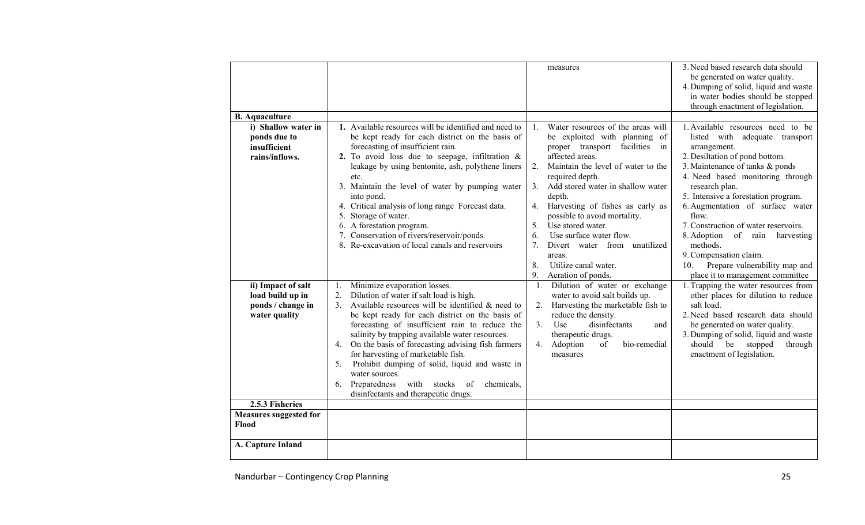|                                                                                                 |                                                                                                                                                                                                                                                                                                                                                                                                                                                                                                                                                                                            | measures                                                                                                                                                                                                                                                                                                                                                                                                                                                                                                       | 3. Need based research data should<br>be generated on water quality.<br>4. Dumping of solid, liquid and waste<br>in water bodies should be stopped                                                                                                                                                                                                                                                                                                         |
|-------------------------------------------------------------------------------------------------|--------------------------------------------------------------------------------------------------------------------------------------------------------------------------------------------------------------------------------------------------------------------------------------------------------------------------------------------------------------------------------------------------------------------------------------------------------------------------------------------------------------------------------------------------------------------------------------------|----------------------------------------------------------------------------------------------------------------------------------------------------------------------------------------------------------------------------------------------------------------------------------------------------------------------------------------------------------------------------------------------------------------------------------------------------------------------------------------------------------------|------------------------------------------------------------------------------------------------------------------------------------------------------------------------------------------------------------------------------------------------------------------------------------------------------------------------------------------------------------------------------------------------------------------------------------------------------------|
|                                                                                                 |                                                                                                                                                                                                                                                                                                                                                                                                                                                                                                                                                                                            |                                                                                                                                                                                                                                                                                                                                                                                                                                                                                                                | through enactment of legislation.                                                                                                                                                                                                                                                                                                                                                                                                                          |
| <b>B.</b> Aquaculture                                                                           |                                                                                                                                                                                                                                                                                                                                                                                                                                                                                                                                                                                            |                                                                                                                                                                                                                                                                                                                                                                                                                                                                                                                |                                                                                                                                                                                                                                                                                                                                                                                                                                                            |
| i) Shallow water in<br>ponds due to<br>insufficient<br>rains/inflows.                           | 1. Available resources will be identified and need to<br>be kept ready for each district on the basis of<br>forecasting of insufficient rain.<br>2. To avoid loss due to seepage, infiltration $\&$<br>leakage by using bentonite, ash, polythene liners<br>etc.<br>3. Maintain the level of water by pumping water<br>into pond.<br>4. Critical analysis of long range Forecast data.<br>5. Storage of water.<br>6. A forestation program.<br>7. Conservation of rivers/reservoir/ponds.<br>8. Re-excavation of local canals and reservoirs                                               | Water resources of the areas will<br>$\mathbf{1}$<br>be exploited with planning of<br>proper transport facilities<br>in<br>affected areas.<br>Maintain the level of water to the<br>2.<br>required depth.<br>Add stored water in shallow water<br>3.<br>depth.<br>Harvesting of fishes as early as<br>4.<br>possible to avoid mortality.<br>Use stored water.<br>5.<br>Use surface water flow.<br>6.<br>$7_{\scriptscriptstyle{\sim}}$<br>Divert water from unutilized<br>areas.<br>Utilize canal water.<br>8. | 1. Available resources need to be<br>listed with adequate transport<br>arrangement.<br>2. Desiltation of pond bottom.<br>3. Maintenance of tanks & ponds<br>4. Need based monitoring through<br>research plan.<br>5. Intensive a forestation program.<br>6. Augmentation of surface water<br>flow.<br>7. Construction of water reservoirs.<br>8. Adoption of rain harvesting<br>methods.<br>9. Compensation claim.<br>Prepare vulnerability map and<br>10. |
| ii) Impact of salt<br>load build up in<br>ponds / change in<br>water quality<br>2.5.3 Fisheries | Minimize evaporation losses.<br>Dilution of water if salt load is high.<br>2.<br>Available resources will be identified $\&$ need to<br>3 <sub>1</sub><br>be kept ready for each district on the basis of<br>forecasting of insufficient rain to reduce the<br>salinity by trapping available water resources.<br>On the basis of forecasting advising fish farmers<br>4.<br>for harvesting of marketable fish.<br>Prohibit dumping of solid, liquid and waste in<br>5.<br>water sources.<br>Preparedness<br>with stocks<br>of<br>chemicals,<br>6.<br>disinfectants and therapeutic drugs. | 9.<br>Aeration of ponds.<br>Dilution of water or exchange<br>1.<br>water to avoid salt builds up.<br>2. Harvesting the marketable fish to<br>reduce the density.<br>disinfectants<br>3.<br>Use<br>and<br>therapeutic drugs.<br>Adoption<br>of<br>bio-remedial<br>4.<br>measures                                                                                                                                                                                                                                | place it to management committee<br>1. Trapping the water resources from<br>other places for dilution to reduce<br>salt load.<br>2. Need based research data should<br>be generated on water quality.<br>3. Dumping of solid, liquid and waste<br>should be stopped<br>through<br>enactment of legislation.                                                                                                                                                |
| <b>Measures suggested for</b><br>Flood                                                          |                                                                                                                                                                                                                                                                                                                                                                                                                                                                                                                                                                                            |                                                                                                                                                                                                                                                                                                                                                                                                                                                                                                                |                                                                                                                                                                                                                                                                                                                                                                                                                                                            |
| A. Capture Inland                                                                               |                                                                                                                                                                                                                                                                                                                                                                                                                                                                                                                                                                                            |                                                                                                                                                                                                                                                                                                                                                                                                                                                                                                                |                                                                                                                                                                                                                                                                                                                                                                                                                                                            |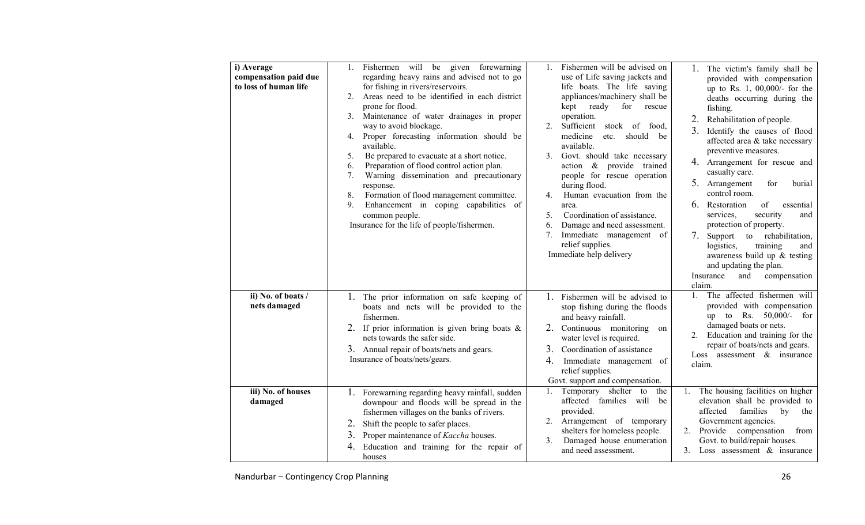| i) Average<br>compensation paid due<br>to loss of human life | Fishermen will be given forewarning<br>regarding heavy rains and advised not to go<br>for fishing in rivers/reservoirs.<br>Areas need to be identified in each district<br>2.<br>prone for flood.<br>3. Maintenance of water drainages in proper<br>way to avoid blockage.<br>4. Proper forecasting information should be<br>available.<br>Be prepared to evacuate at a short notice.<br>5.<br>Preparation of flood control action plan.<br>6.<br>Warning dissemination and precautionary<br>7.<br>response.<br>Formation of flood management committee.<br>8.<br>Enhancement in coping capabilities of<br>9.<br>common people.<br>Insurance for the life of people/fishermen. | Fishermen will be advised on<br>1.<br>use of Life saving jackets and<br>life boats. The life saving<br>appliances/machinery shall be<br>kept ready<br>for<br>rescue<br>operation.<br>Sufficient stock of food,<br>2.<br>medicine<br>etc.<br>should be<br>available.<br>Govt. should take necessary<br>$\mathcal{E}$<br>action & provide trained<br>people for rescue operation<br>during flood.<br>Human evacuation from the<br>4.<br>area.<br>Coordination of assistance.<br>5 <sub>1</sub><br>Damage and need assessment.<br>6.<br>Immediate management of<br>7.<br>relief supplies.<br>Immediate help delivery | The victim's family shall be<br>provided with compensation<br>up to Rs. 1, 00,000/- for the<br>deaths occurring during the<br>fishing.<br>Rehabilitation of people.<br>Identify the causes of flood<br>affected area & take necessary<br>preventive measures.<br>4. Arrangement for rescue and<br>casualty care.<br>5. Arrangement<br>for<br>burial<br>control room.<br>6.<br>Restoration<br>of<br>essential<br>security<br>services,<br>and<br>protection of property.<br>7.<br>Support to rehabilitation,<br>logistics,<br>training<br>and<br>awareness build up $&$ testing<br>and updating the plan.<br>Insurance<br>compensation<br>and<br>claim. |
|--------------------------------------------------------------|--------------------------------------------------------------------------------------------------------------------------------------------------------------------------------------------------------------------------------------------------------------------------------------------------------------------------------------------------------------------------------------------------------------------------------------------------------------------------------------------------------------------------------------------------------------------------------------------------------------------------------------------------------------------------------|-------------------------------------------------------------------------------------------------------------------------------------------------------------------------------------------------------------------------------------------------------------------------------------------------------------------------------------------------------------------------------------------------------------------------------------------------------------------------------------------------------------------------------------------------------------------------------------------------------------------|--------------------------------------------------------------------------------------------------------------------------------------------------------------------------------------------------------------------------------------------------------------------------------------------------------------------------------------------------------------------------------------------------------------------------------------------------------------------------------------------------------------------------------------------------------------------------------------------------------------------------------------------------------|
| ii) No. of boats /<br>nets damaged                           | 1. The prior information on safe keeping of<br>boats and nets will be provided to the<br>fishermen.<br>2. If prior information is given bring boats $\&$<br>nets towards the safer side.<br>3. Annual repair of boats/nets and gears.<br>Insurance of boats/nets/gears.                                                                                                                                                                                                                                                                                                                                                                                                        | 1. Fishermen will be advised to<br>stop fishing during the floods<br>and heavy rainfall.<br>2. Continuous monitoring<br>on<br>water level is required.<br>3 <sub>1</sub><br>Coordination of assistance<br>Immediate management of<br>4.<br>relief supplies.<br>Govt. support and compensation.                                                                                                                                                                                                                                                                                                                    | The affected fishermen will<br>$1_{-}$<br>provided with compensation<br>up to Rs. $50,000/-$<br>for<br>damaged boats or nets.<br>Education and training for the<br>repair of boats/nets and gears.<br>Loss assessment $\&$ insurance<br>claim.                                                                                                                                                                                                                                                                                                                                                                                                         |
| iii) No. of houses<br>damaged                                | 1. Forewarning regarding heavy rainfall, sudden<br>downpour and floods will be spread in the<br>fishermen villages on the banks of rivers.<br>Shift the people to safer places.<br>2.<br>Proper maintenance of Kaccha houses.<br>3.<br>Education and training for the repair of<br>houses                                                                                                                                                                                                                                                                                                                                                                                      | Temporary shelter to the<br>1.<br>affected families will be<br>provided.<br>2. Arrangement of temporary<br>shelters for homeless people.<br>Damaged house enumeration<br>3.<br>and need assessment.                                                                                                                                                                                                                                                                                                                                                                                                               | The housing facilities on higher<br>1.<br>elevation shall be provided to<br>affected<br>families<br>by<br>the<br>Government agencies.<br>Provide compensation from<br>2.<br>Govt. to build/repair houses.<br>Loss assessment $\&$ insurance<br>3.                                                                                                                                                                                                                                                                                                                                                                                                      |

Nandurbar – Contingency Crop Planning 26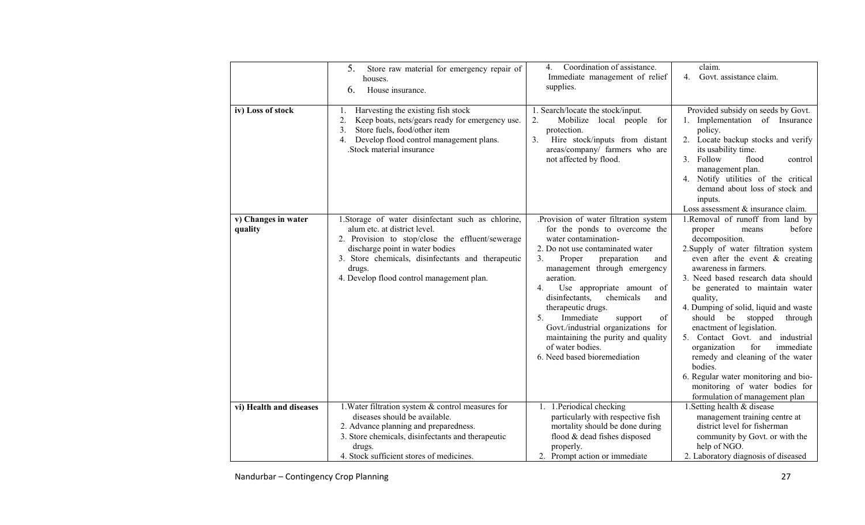|                                | 5.<br>Store raw material for emergency repair of<br>houses.<br>6.<br>House insurance.                                                                                                                                                                                                 | Coordination of assistance.<br>4.<br>Immediate management of relief<br>supplies.                                                                                                                                                                                                                                                                                                                                                                                                         | claim.<br>4.<br>Govt. assistance claim.                                                                                                                                                                                                                                                                                                                                                                                                                                                                                                                                                                               |
|--------------------------------|---------------------------------------------------------------------------------------------------------------------------------------------------------------------------------------------------------------------------------------------------------------------------------------|------------------------------------------------------------------------------------------------------------------------------------------------------------------------------------------------------------------------------------------------------------------------------------------------------------------------------------------------------------------------------------------------------------------------------------------------------------------------------------------|-----------------------------------------------------------------------------------------------------------------------------------------------------------------------------------------------------------------------------------------------------------------------------------------------------------------------------------------------------------------------------------------------------------------------------------------------------------------------------------------------------------------------------------------------------------------------------------------------------------------------|
| iv) Loss of stock              | Harvesting the existing fish stock<br>1.<br>2.<br>Keep boats, nets/gears ready for emergency use.<br>Store fuels, food/other item<br>3.<br>Develop flood control management plans.<br>4.<br>.Stock material insurance                                                                 | 1. Search/locate the stock/input.<br>2.<br>Mobilize local people<br>for<br>protection.<br>Hire stock/inputs from distant<br>3.<br>areas/company/ farmers who are<br>not affected by flood.                                                                                                                                                                                                                                                                                               | Provided subsidy on seeds by Govt.<br>1. Implementation of Insurance<br>policy.<br>2. Locate backup stocks and verify<br>its usability time.<br>Follow<br>3.<br>flood<br>control<br>management plan.<br>4. Notify utilities of the critical<br>demand about loss of stock and<br>inputs.<br>Loss assessment & insurance claim.                                                                                                                                                                                                                                                                                        |
| v) Changes in water<br>quality | 1. Storage of water disinfectant such as chlorine,<br>alum etc. at district level.<br>2. Provision to stop/close the effluent/sewerage<br>discharge point in water bodies<br>3. Store chemicals, disinfectants and therapeutic<br>drugs.<br>4. Develop flood control management plan. | .Provision of water filtration system<br>for the ponds to overcome the<br>water contamination-<br>2. Do not use contaminated water<br>3.<br>Proper<br>preparation<br>and<br>management through emergency<br>aeration.<br>Use appropriate amount of<br>4.<br>disinfectants,<br>chemicals<br>and<br>therapeutic drugs.<br>5.<br>Immediate<br>support<br>οf<br>Govt./industrial organizations for<br>maintaining the purity and quality<br>of water bodies.<br>6. Need based bioremediation | 1.Removal of runoff from land by<br>before<br>proper<br>means<br>decomposition.<br>2. Supply of water filtration system<br>even after the event $\&$ creating<br>awareness in farmers.<br>3. Need based research data should<br>be generated to maintain water<br>quality,<br>4. Dumping of solid, liquid and waste<br>should be stopped<br>through<br>enactment of legislation.<br>5. Contact Govt. and<br>industrial<br>for<br>immediate<br>organization<br>remedy and cleaning of the water<br>bodies.<br>6. Regular water monitoring and bio-<br>monitoring of water bodies for<br>formulation of management plan |
| vi) Health and diseases        | 1. Water filtration system & control measures for<br>diseases should be available.<br>2. Advance planning and preparedness.<br>3. Store chemicals, disinfectants and therapeutic<br>drugs.                                                                                            | 1. 1. Periodical checking<br>particularly with respective fish<br>mortality should be done during<br>flood & dead fishes disposed<br>properly.                                                                                                                                                                                                                                                                                                                                           | 1. Setting health & disease<br>management training centre at<br>district level for fisherman<br>community by Govt. or with the<br>help of NGO.                                                                                                                                                                                                                                                                                                                                                                                                                                                                        |
|                                | 4. Stock sufficient stores of medicines.                                                                                                                                                                                                                                              | 2. Prompt action or immediate                                                                                                                                                                                                                                                                                                                                                                                                                                                            | 2. Laboratory diagnosis of diseased                                                                                                                                                                                                                                                                                                                                                                                                                                                                                                                                                                                   |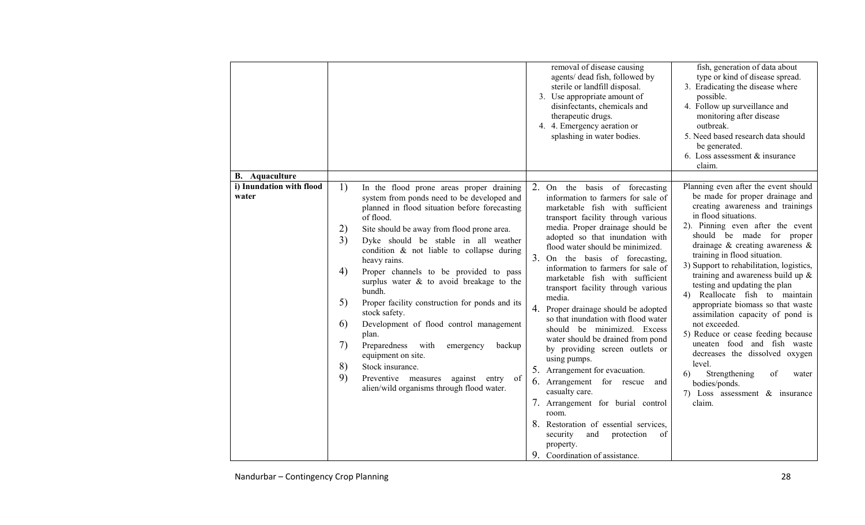| i) Inundation with flood<br>1)<br>2. On the basis of forecasting<br>In the flood prone areas proper draining<br>water<br>system from ponds need to be developed and<br>information to farmers for sale of<br>planned in flood situation before forecasting<br>marketable fish with sufficient<br>in flood situations.<br>of flood.<br>transport facility through various<br>media. Proper drainage should be                                                                                                                                                                                                                                                                                                                                                                                                                                                                                                                                                                                                                                                                                                                                                                                                                                                                                                                                                                             |                       |                                                  | removal of disease causing<br>agents/ dead fish, followed by<br>sterile or landfill disposal.<br>3. Use appropriate amount of<br>disinfectants, chemicals and<br>therapeutic drugs.<br>4. 4. Emergency aeration or<br>splashing in water bodies. | fish, generation of data about<br>type or kind of disease spread.<br>3. Eradicating the disease where<br>possible.<br>4. Follow up surveillance and<br>monitoring after disease<br>outbreak.<br>5. Need based research data should<br>be generated.<br>6. Loss assessment $&$ insurance<br>claim.                                                                                                                                                                                                                                                                         |
|------------------------------------------------------------------------------------------------------------------------------------------------------------------------------------------------------------------------------------------------------------------------------------------------------------------------------------------------------------------------------------------------------------------------------------------------------------------------------------------------------------------------------------------------------------------------------------------------------------------------------------------------------------------------------------------------------------------------------------------------------------------------------------------------------------------------------------------------------------------------------------------------------------------------------------------------------------------------------------------------------------------------------------------------------------------------------------------------------------------------------------------------------------------------------------------------------------------------------------------------------------------------------------------------------------------------------------------------------------------------------------------|-----------------------|--------------------------------------------------|--------------------------------------------------------------------------------------------------------------------------------------------------------------------------------------------------------------------------------------------------|---------------------------------------------------------------------------------------------------------------------------------------------------------------------------------------------------------------------------------------------------------------------------------------------------------------------------------------------------------------------------------------------------------------------------------------------------------------------------------------------------------------------------------------------------------------------------|
| adopted so that inundation with<br>3)<br>Dyke should be stable in all weather<br>flood water should be minimized.<br>condition & not liable to collapse during<br>training in flood situation.<br>3. On the basis of forecasting,<br>heavy rains.<br>information to farmers for sale of<br>4)<br>Proper channels to be provided to pass<br>marketable fish with sufficient<br>surplus water $\&$ to avoid breakage to the<br>testing and updating the plan<br>transport facility through various<br>bundh.<br>media.<br>5)<br>Proper facility construction for ponds and its<br>Proper drainage should be adopted<br>4.<br>stock safety.<br>so that inundation with flood water<br>not exceeded.<br>6)<br>Development of flood control management<br>should be minimized. Excess<br>plan.<br>water should be drained from pond<br>7)<br>Preparedness<br>with<br>emergency<br>backup<br>by providing screen outlets or<br>equipment on site.<br>using pumps.<br>level.<br>8)<br>Stock insurance.<br>5. Arrangement for evacuation.<br>Strengthening<br>of<br>6)<br>9)<br>Preventive measures<br>against entry of<br>6. Arrangement for rescue<br>and<br>bodies/ponds.<br>alien/wild organisms through flood water.<br>casualty care.<br>7. Arrangement for burial control<br>claim.<br>room.<br>8. Restoration of essential services,<br>and<br>protection<br>of<br>security<br>property. | <b>B.</b> Aquaculture | 2)<br>Site should be away from flood prone area. |                                                                                                                                                                                                                                                  | Planning even after the event should<br>be made for proper drainage and<br>creating awareness and trainings<br>2). Pinning even after the event<br>should be made for proper<br>drainage $\&$ creating awareness $\&$<br>3) Support to rehabilitation, logistics,<br>training and awareness build up $\&$<br>4) Reallocate fish to maintain<br>appropriate biomass so that waste<br>assimilation capacity of pond is<br>5) Reduce or cease feeding because<br>uneaten food and fish waste<br>decreases the dissolved oxygen<br>water<br>7) Loss assessment $\&$ insurance |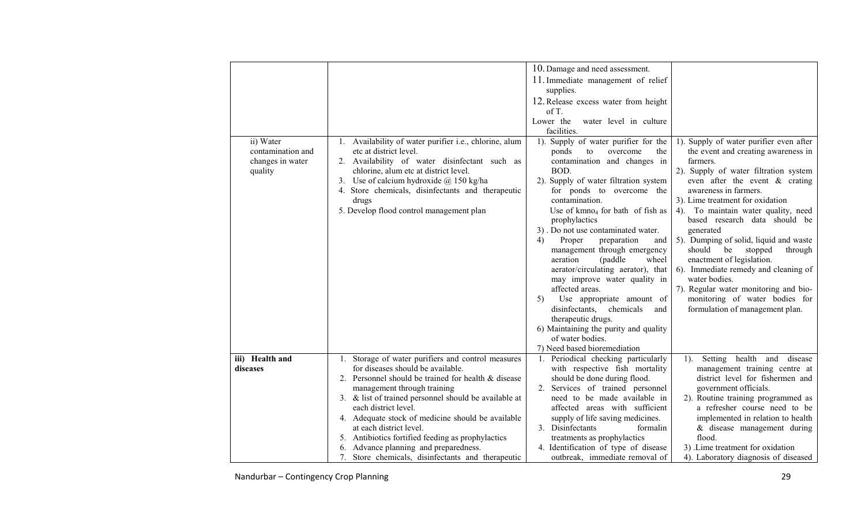|                                                               |                                                                                                                                                                                                                                                                                                                                                   | 10. Damage and need assessment.<br>11. Immediate management of relief<br>supplies.                                                                                                                                                                                                                                                                                                                                                                                                                                                                                                                                                                                                              |                                                                                                                                                                                                                                                                                                                                                                                                                                                                                                                                                                                                                |
|---------------------------------------------------------------|---------------------------------------------------------------------------------------------------------------------------------------------------------------------------------------------------------------------------------------------------------------------------------------------------------------------------------------------------|-------------------------------------------------------------------------------------------------------------------------------------------------------------------------------------------------------------------------------------------------------------------------------------------------------------------------------------------------------------------------------------------------------------------------------------------------------------------------------------------------------------------------------------------------------------------------------------------------------------------------------------------------------------------------------------------------|----------------------------------------------------------------------------------------------------------------------------------------------------------------------------------------------------------------------------------------------------------------------------------------------------------------------------------------------------------------------------------------------------------------------------------------------------------------------------------------------------------------------------------------------------------------------------------------------------------------|
|                                                               |                                                                                                                                                                                                                                                                                                                                                   | 12. Release excess water from height<br>of $T$ .<br>Lower the<br>water level in culture<br>facilities.                                                                                                                                                                                                                                                                                                                                                                                                                                                                                                                                                                                          |                                                                                                                                                                                                                                                                                                                                                                                                                                                                                                                                                                                                                |
| ii) Water<br>contamination and<br>changes in water<br>quality | Availability of water purifier i.e., chlorine, alum<br>etc at district level.<br>2. Availability of water disinfectant such as<br>chlorine, alum etc at district level.<br>3. Use of calcium hydroxide $\omega$ 150 kg/ha<br>4. Store chemicals, disinfectants and therapeutic<br>drugs<br>5. Develop flood control management plan               | 1). Supply of water purifier for the<br>ponds<br>overcome<br>the<br>to<br>contamination and changes in<br>BOD.<br>2). Supply of water filtration system<br>for ponds to overcome the<br>contamination.<br>Use of $kmno4$ for bath of fish as<br>prophylactics<br>3). Do not use contaminated water.<br>4)<br>Proper<br>preparation<br>and<br>management through emergency<br>(paddle)<br>wheel<br>aeration<br>aerator/circulating aerator), that<br>may improve water quality in<br>affected areas.<br>Use appropriate amount of<br>5)<br>disinfectants,<br>chemicals<br>and<br>therapeutic drugs.<br>6) Maintaining the purity and quality<br>of water bodies.<br>7) Need based bioremediation | 1). Supply of water purifier even after<br>the event and creating awareness in<br>farmers.<br>2). Supply of water filtration system<br>even after the event $\&$ crating<br>awareness in farmers.<br>3). Lime treatment for oxidation<br>4). To maintain water quality, need<br>based research data should be<br>generated<br>5). Dumping of solid, liquid and waste<br>should<br>be<br>stopped<br>through<br>enactment of legislation.<br>6). Immediate remedy and cleaning of<br>water bodies.<br>7). Regular water monitoring and bio-<br>monitoring of water bodies for<br>formulation of management plan. |
| iii) Health and<br>diseases                                   | 1. Storage of water purifiers and control measures<br>for diseases should be available.<br>Personnel should be trained for health & disease<br>2.<br>management through training<br>3. & list of trained personnel should be available at<br>each district level.<br>4. Adequate stock of medicine should be available<br>at each district level. | 1. Periodical checking particularly<br>with respective fish mortality<br>should be done during flood.<br>2. Services of trained personnel<br>need to be made available in<br>affected areas with sufficient<br>supply of life saving medicines.<br>3. Disinfectants<br>formalin                                                                                                                                                                                                                                                                                                                                                                                                                 | Setting health and disease<br>1).<br>management training centre at<br>district level for fishermen and<br>government officials.<br>2). Routine training programmed as<br>a refresher course need to be<br>implemented in relation to health<br>& disease management during                                                                                                                                                                                                                                                                                                                                     |
|                                                               | 5. Antibiotics fortified feeding as prophylactics<br>6. Advance planning and preparedness.<br>7. Store chemicals, disinfectants and therapeutic                                                                                                                                                                                                   | treatments as prophylactics<br>4. Identification of type of disease<br>outbreak, immediate removal of                                                                                                                                                                                                                                                                                                                                                                                                                                                                                                                                                                                           | flood.<br>3) .Lime treatment for oxidation<br>4). Laboratory diagnosis of diseased                                                                                                                                                                                                                                                                                                                                                                                                                                                                                                                             |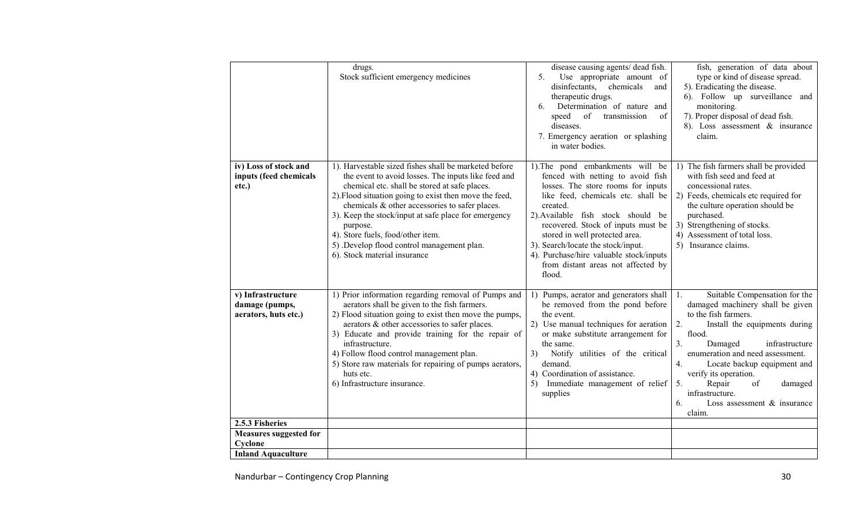|                                                             | drugs.<br>Stock sufficient emergency medicines                                                                                                                                                                                                                                                                                                                                                                                                                  | disease causing agents/ dead fish.<br>5.<br>Use appropriate amount of<br>disinfectants,<br>chemicals<br>and<br>therapeutic drugs.<br>Determination of nature and<br>6.<br>of<br>transmission<br>speed<br>of<br>diseases.<br>7. Emergency aeration or splashing<br>in water bodies.                                                                                                                           | fish, generation of data about<br>type or kind of disease spread.<br>5). Eradicating the disease.<br>6). Follow up surveillance and<br>monitoring.<br>7). Proper disposal of dead fish.<br>8). Loss assessment $\&$ insurance<br>claim.                                                                                                                                               |
|-------------------------------------------------------------|-----------------------------------------------------------------------------------------------------------------------------------------------------------------------------------------------------------------------------------------------------------------------------------------------------------------------------------------------------------------------------------------------------------------------------------------------------------------|--------------------------------------------------------------------------------------------------------------------------------------------------------------------------------------------------------------------------------------------------------------------------------------------------------------------------------------------------------------------------------------------------------------|---------------------------------------------------------------------------------------------------------------------------------------------------------------------------------------------------------------------------------------------------------------------------------------------------------------------------------------------------------------------------------------|
| iv) Loss of stock and<br>inputs (feed chemicals<br>etc.)    | 1). Harvestable sized fishes shall be marketed before<br>the event to avoid losses. The inputs like feed and<br>chemical etc. shall be stored at safe places.<br>2). Flood situation going to exist then move the feed,<br>chemicals & other accessories to safer places.<br>3). Keep the stock/input at safe place for emergency<br>purpose.<br>4). Store fuels, food/other item.<br>5) Develop flood control management plan.<br>6). Stock material insurance | 1). The pond embankments will be<br>fenced with netting to avoid fish<br>losses. The store rooms for inputs<br>like feed, chemicals etc. shall be<br>created.<br>2). Available fish stock should be<br>recovered. Stock of inputs must be<br>stored in well protected area.<br>3). Search/locate the stock/input.<br>4). Purchase/hire valuable stock/inputs<br>from distant areas not affected by<br>flood. | 1) The fish farmers shall be provided<br>with fish seed and feed at<br>concessional rates.<br>2) Feeds, chemicals etc required for<br>the culture operation should be<br>purchased.<br>3) Strengthening of stocks.<br>4) Assessment of total loss.<br>5) Insurance claims.                                                                                                            |
| v) Infrastructure<br>damage (pumps,<br>aerators, huts etc.) | 1) Prior information regarding removal of Pumps and<br>aerators shall be given to the fish farmers.<br>2) Flood situation going to exist then move the pumps,<br>aerators & other accessories to safer places.<br>3) Educate and provide training for the repair of<br>infrastructure.<br>4) Follow flood control management plan.<br>5) Store raw materials for repairing of pumps aerators,<br>huts etc.<br>6) Infrastructure insurance.                      | 1) Pumps, aerator and generators shall 1.<br>be removed from the pond before<br>the event.<br>2) Use manual techniques for aeration<br>or make substitute arrangement for<br>the same.<br>Notify utilities of the critical<br>3)<br>demand.<br>4) Coordination of assistance.<br>Immediate management of relief<br>5)<br>supplies                                                                            | Suitable Compensation for the<br>damaged machinery shall be given<br>to the fish farmers.<br>2.<br>Install the equipments during<br>flood.<br>3.<br>Damaged<br>infrastructure<br>enumeration and need assessment.<br>4.<br>Locate backup equipment and<br>verify its operation.<br>Repair<br>5.<br>of<br>damaged<br>infrastructure.<br>Loss assessment $\&$ insurance<br>6.<br>claim. |
| 2.5.3 Fisheries                                             |                                                                                                                                                                                                                                                                                                                                                                                                                                                                 |                                                                                                                                                                                                                                                                                                                                                                                                              |                                                                                                                                                                                                                                                                                                                                                                                       |
| <b>Measures suggested for</b>                               |                                                                                                                                                                                                                                                                                                                                                                                                                                                                 |                                                                                                                                                                                                                                                                                                                                                                                                              |                                                                                                                                                                                                                                                                                                                                                                                       |
| Cyclone                                                     |                                                                                                                                                                                                                                                                                                                                                                                                                                                                 |                                                                                                                                                                                                                                                                                                                                                                                                              |                                                                                                                                                                                                                                                                                                                                                                                       |
| <b>Inland Aquaculture</b>                                   |                                                                                                                                                                                                                                                                                                                                                                                                                                                                 |                                                                                                                                                                                                                                                                                                                                                                                                              |                                                                                                                                                                                                                                                                                                                                                                                       |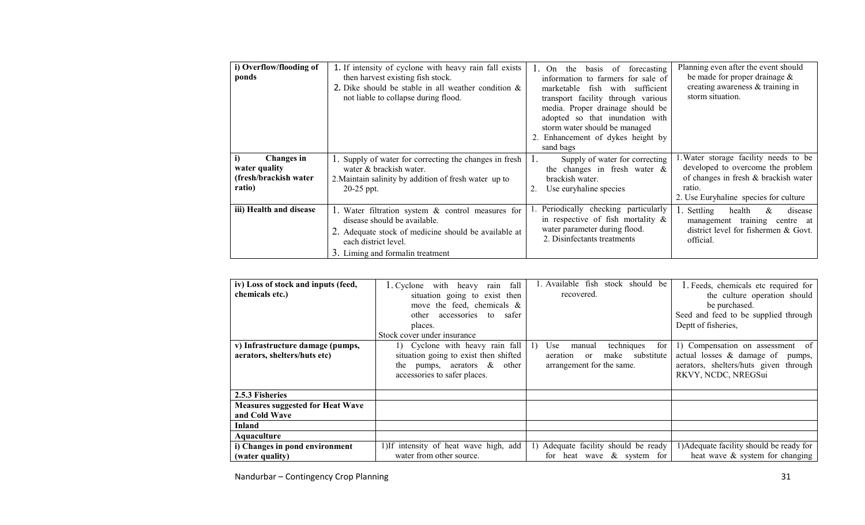| i) Overflow/flooding of<br>ponds                                      | 1. If intensity of cyclone with heavy rain fall exists<br>then harvest existing fish stock.<br>2. Dike should be stable in all weather condition $\&$<br>not liable to collapse during flood.          | of<br>forecasting<br>the<br>$1. \space$ On<br>basis<br>information to farmers for sale of<br>fish with<br>marketable<br>sufficient<br>transport facility through various<br>media. Proper drainage should be<br>adopted so that inundation with<br>storm water should be managed<br>2. Enhancement of dykes height by<br>sand bags | Planning even after the event should<br>be made for proper drainage $\&$<br>creating awareness & training in<br>storm situation.                                      |
|-----------------------------------------------------------------------|--------------------------------------------------------------------------------------------------------------------------------------------------------------------------------------------------------|------------------------------------------------------------------------------------------------------------------------------------------------------------------------------------------------------------------------------------------------------------------------------------------------------------------------------------|-----------------------------------------------------------------------------------------------------------------------------------------------------------------------|
| i)<br>Changes in<br>water quality<br>(fresh/brackish water)<br>ratio) | 1. Supply of water for correcting the changes in fresh<br>water & brackish water.<br>2. Maintain salinity by addition of fresh water up to<br>$20-25$ ppt.                                             | Supply of water for correcting<br>the changes in fresh water $\&$<br>brackish water.<br>Use euryhaline species                                                                                                                                                                                                                     | 1. Water storage facility needs to be<br>developed to overcome the problem<br>of changes in fresh & brackish water<br>ratio.<br>2. Use Euryhaline species for culture |
| iii) Health and disease                                               | 1. Water filtration system & control measures for<br>disease should be available.<br>2. Adequate stock of medicine should be available at<br>each district level.<br>3. Liming and formal in treatment | 1. Periodically checking particularly<br>in respective of fish mortality $\&$<br>water parameter during flood.<br>2. Disinfectants treatments                                                                                                                                                                                      | 1. Settling<br>&<br>disease<br>health<br>management training<br>centre at<br>district level for fishermen & Govt.<br>official.                                        |

| iv) Loss of stock and inputs (feed,<br>chemicals etc.)           | fall<br>1. Cyclone<br>with heavy<br>rain<br>situation going to exist then<br>move the feed, chemicals $\&$<br>accessories to safer<br>other   | 1. Available fish<br>stock should be<br>recovered.                                                                                 | 1. Feeds, chemicals etc required for<br>the culture operation should<br>be purchased.<br>Seed and feed to be supplied through           |
|------------------------------------------------------------------|-----------------------------------------------------------------------------------------------------------------------------------------------|------------------------------------------------------------------------------------------------------------------------------------|-----------------------------------------------------------------------------------------------------------------------------------------|
|                                                                  | places.<br>Stock cover under insurance                                                                                                        |                                                                                                                                    | Deptt of fisheries,                                                                                                                     |
| v) Infrastructure damage (pumps,<br>aerators, shelters/huts etc) | 1) Cyclone with heavy rain fall<br>situation going to exist then shifted<br>pumps, aerators $\&$ other<br>the<br>accessories to safer places. | techniques<br>Use<br>manual<br>for<br>$\mathbf{D}$<br>substitute<br>make<br>aeration<br><sub>or</sub><br>arrangement for the same. | 1) Compensation on assessment of<br>actual losses & damage of<br>pumps,<br>aerators, shelters/huts given through<br>RKVY, NCDC, NREGSui |
| 2.5.3 Fisheries                                                  |                                                                                                                                               |                                                                                                                                    |                                                                                                                                         |
| <b>Measures suggested for Heat Wave</b><br>and Cold Wave         |                                                                                                                                               |                                                                                                                                    |                                                                                                                                         |
| <b>Inland</b>                                                    |                                                                                                                                               |                                                                                                                                    |                                                                                                                                         |
| Aquaculture                                                      |                                                                                                                                               |                                                                                                                                    |                                                                                                                                         |
| i) Changes in pond environment                                   | 1)If intensity of heat wave high, add                                                                                                         | 1) Adequate facility should be ready                                                                                               | 1) Adequate facility should be ready for                                                                                                |
| (water quality)                                                  | water from other source.                                                                                                                      | for heat wave $\&$ system for                                                                                                      | heat wave $\&$ system for changing                                                                                                      |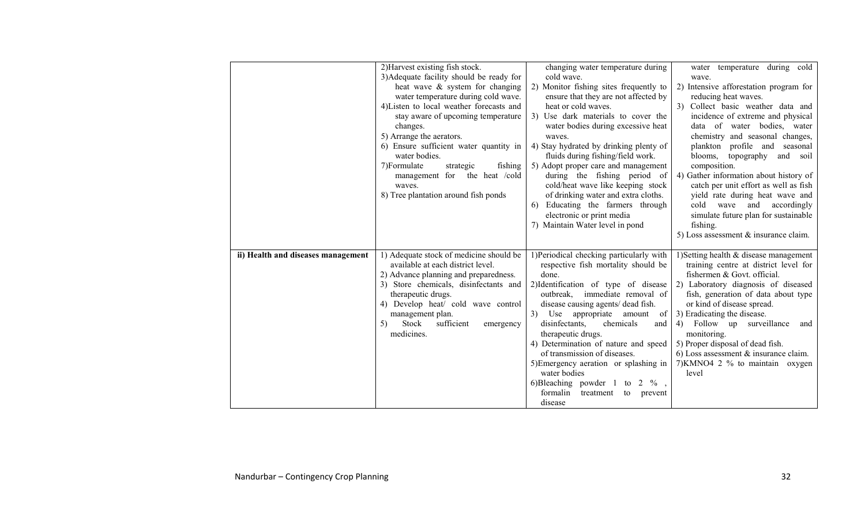|                                    | 2) Harvest existing fish stock.          | changing water temperature during        | water temperature during cold            |
|------------------------------------|------------------------------------------|------------------------------------------|------------------------------------------|
|                                    | 3) Adequate facility should be ready for | cold wave.                               | wave.                                    |
|                                    | heat wave & system for changing          | 2) Monitor fishing sites frequently to   | 2) Intensive afforestation program for   |
|                                    | water temperature during cold wave.      | ensure that they are not affected by     | reducing heat waves.                     |
|                                    | 4) Listen to local weather forecasts and | heat or cold waves.                      | 3) Collect basic weather data and        |
|                                    | stay aware of upcoming temperature       | Use dark materials to cover the<br>3)    | incidence of extreme and physical        |
|                                    | changes.                                 | water bodies during excessive heat       | data of water bodies, water              |
|                                    | 5) Arrange the aerators.                 |                                          | chemistry and seasonal changes,          |
|                                    |                                          | waves.                                   |                                          |
|                                    | 6) Ensure sufficient water quantity in   | 4) Stay hydrated by drinking plenty of   | plankton profile and<br>seasonal         |
|                                    | water bodies.                            | fluids during fishing/field work.        | blooms, topography<br>and soil           |
|                                    | 7)Formulate<br>fishing<br>strategic      | 5) Adopt proper care and management      | composition.                             |
|                                    | management for the heat /cold            | during the fishing period of             | 4) Gather information about history of   |
|                                    | waves.                                   | cold/heat wave like keeping stock        | catch per unit effort as well as fish    |
|                                    | 8) Tree plantation around fish ponds     | of drinking water and extra cloths.      | yield rate during heat wave and          |
|                                    |                                          | Educating the farmers through<br>6)      | cold wave and accordingly                |
|                                    |                                          | electronic or print media                | simulate future plan for sustainable     |
|                                    |                                          | 7) Maintain Water level in pond          | fishing.                                 |
|                                    |                                          |                                          | 5) Loss assessment $\&$ insurance claim. |
| ii) Health and diseases management | 1) Adequate stock of medicine should be  | 1) Periodical checking particularly with | 1) Setting health & disease management   |
|                                    | available at each district level.        | respective fish mortality should be      | training centre at district level for    |
|                                    | 2) Advance planning and preparedness.    | done.                                    | fishermen & Govt. official.              |
|                                    | 3) Store chemicals, disinfectants and    | 2) Identification of type of disease     | 2) Laboratory diagnosis of diseased      |
|                                    | therapeutic drugs.                       | immediate removal of<br>outbreak.        | fish, generation of data about type      |
|                                    | 4) Develop heat/ cold wave control       | disease causing agents/ dead fish.       | or kind of disease spread.               |
|                                    | management plan.                         | 3) Use appropriate<br>amount<br>of       | 3) Eradicating the disease.              |
|                                    | Stock<br>sufficient<br>5)<br>emergency   | disinfectants,<br>chemicals<br>and       | 4) Follow up surveillance<br>and         |
|                                    | medicines.                               | therapeutic drugs.                       | monitoring.                              |
|                                    |                                          | 4) Determination of nature and speed     | 5) Proper disposal of dead fish.         |
|                                    |                                          | of transmission of diseases.             | 6) Loss assessment $\&$ insurance claim. |
|                                    |                                          | 5) Emergency aeration or splashing in    | 7) KMNO4 2 % to maintain oxygen          |
|                                    |                                          | water bodies                             | level                                    |
|                                    |                                          | 6)Bleaching powder 1 to 2 $\%$ ,         |                                          |
|                                    |                                          | formalin<br>treatment<br>to<br>prevent   |                                          |
|                                    |                                          | disease                                  |                                          |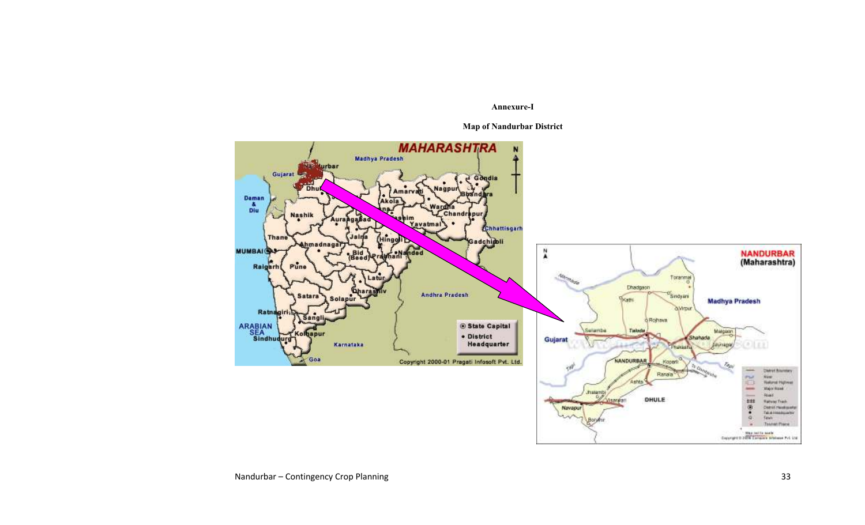Annexure-I

Map of Nandurbar District